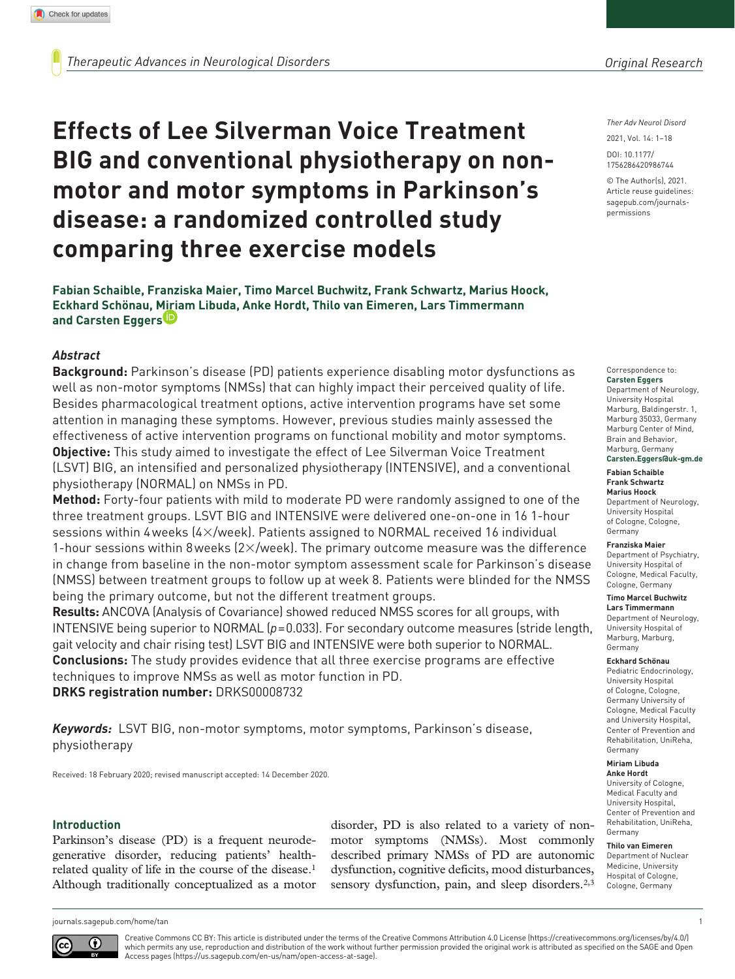# **Effects of Lee Silverman Voice Treatment BIG and conventional physiotherapy on nonmotor and motor symptoms in Parkinson's disease: a randomized controlled study comparing three exercise models**

**Fabian Schaible, Franziska Maier, Timo Marcel Buchwitz, Frank Schwartz, Marius Hoock, Eckhard Schönau, Miriam Libuda, Anke Hordt, Thilo van Eimeren, Lars Timmermann and Carsten Eggers**

## *Abstract*

**Background:** Parkinson's disease (PD) patients experience disabling motor dysfunctions as well as non-motor symptoms (NMSs) that can highly impact their perceived quality of life. Besides pharmacological treatment options, active intervention programs have set some attention in managing these symptoms. However, previous studies mainly assessed the effectiveness of active intervention programs on functional mobility and motor symptoms. **Objective:** This study aimed to investigate the effect of Lee Silverman Voice Treatment (LSVT) BIG, an intensified and personalized physiotherapy (INTENSIVE), and a conventional physiotherapy (NORMAL) on NMSs in PD.

**Method:** Forty-four patients with mild to moderate PD were randomly assigned to one of the three treatment groups. LSVT BIG and INTENSIVE were delivered one-on-one in 16 1-hour sessions within 4weeks (4×/week). Patients assigned to NORMAL received 16 individual 1-hour sessions within 8 weeks  $(2\times$ /week). The primary outcome measure was the difference in change from baseline in the non-motor symptom assessment scale for Parkinson's disease (NMSS) between treatment groups to follow up at week 8. Patients were blinded for the NMSS being the primary outcome, but not the different treatment groups.

**Results:** ANCOVA (Analysis of Covariance) showed reduced NMSS scores for all groups, with INTENSIVE being superior to NORMAL (*p*=0.033). For secondary outcome measures (stride length, gait velocity and chair rising test) LSVT BIG and INTENSIVE were both superior to NORMAL. **Conclusions:** The study provides evidence that all three exercise programs are effective techniques to improve NMSs as well as motor function in PD.

**DRKS registration number:** DRKS00008732

*Keywords:* LSVT BIG, non-motor symptoms, motor symptoms, Parkinson's disease, physiotherapy

Received: 18 February 2020; revised manuscript accepted: 14 December 2020.

#### **Introduction**

Parkinson's disease (PD) is a frequent neurodegenerative disorder, reducing patients' healthrelated quality of life in the course of the disease.1 Although traditionally conceptualized as a motor disorder, PD is also related to a variety of nonmotor symptoms (NMSs). Most commonly described primary NMSs of PD are autonomic dysfunction, cognitive deficits, mood disturbances, sensory dysfunction, pain, and sleep disorders.<sup>2,3</sup>

*Ther Adv Neurol Disord*

DOI: 10.1177/ 2021, Vol. 14: 1–18

© The Author(s), 2021. Article reuse guidelines: [sagepub.com/journals](https://uk.sagepub.com/en-gb/journals-permissions)[permissions](https://uk.sagepub.com/en-gb/journals-permissions)

https://doi.org/10.1177/1756286420986744 1756286420986744

#### Correspondence to:

**Carsten Eggers** Department of Neurology, University Hospital Marburg, Baldingerstr. 1, Marburg 35033, Germany Marburg Center of Mind, Brain and Behavior, Marburg, Germany **[Carsten.Eggers@uk-gm.de](mailto:Carsten.Eggers@uk-gm.de)**

#### **Fabian Schaible Frank Schwartz Marius Hoock**

Department of Neurology, University Hospital of Cologne, Cologne, Germany

#### **Franziska Maier**

Department of Psychiatry, University Hospital of Cologne, Medical Faculty, Cologne, Germany

#### **Timo Marcel Buchwitz Lars Timmermann**

Department of Neurology, University Hospital of Marburg, Marburg, Germany

#### **Eckhard Schönau**

Pediatric Endocrinology, University Hospital of Cologne, Cologne, Germany University of Cologne, Medical Faculty and University Hospital, Center of Prevention and Rehabilitation, UniReha, Germany

#### **Miriam Libuda Anke Hordt**

University of Cologne, Medical Faculty and University Hospital, Center of Prevention and Rehabilitation, UniReha, Germany

**Thilo van Eimeren** Department of Nuclear Medicine, University Hospital of Cologne, Cologne, Germany

[journals.sagepub.com/home/tan](https://journals.sagepub.com/home/tan) 1



Creative Commons CC BY: This article is distributed under the terms of the Creative Commons Attribution 4.0 License (https://creativecommons.org/licenses/by/4.0/) which permits any use, reproduction and distribution of the work without further permission provided the original work is attributed as specified on the SAGE and Open Access pages (https://us.sagepub.com/en-us/nam/open-access-at-sage).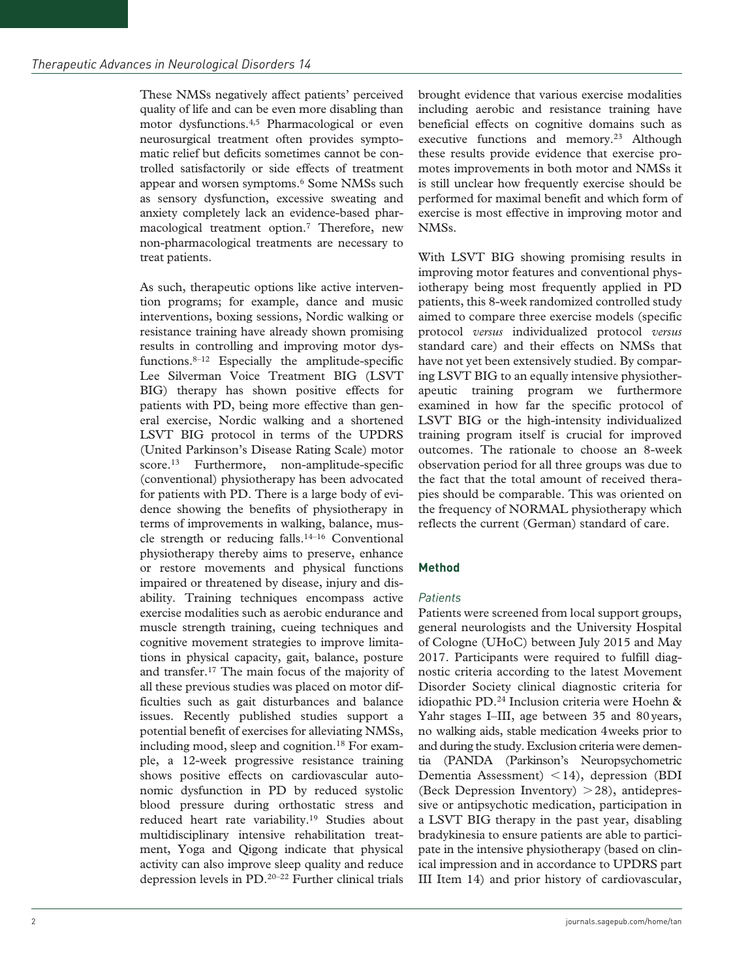These NMSs negatively affect patients' perceived quality of life and can be even more disabling than motor dysfunctions.4,5 Pharmacological or even neurosurgical treatment often provides symptomatic relief but deficits sometimes cannot be controlled satisfactorily or side effects of treatment appear and worsen symptoms.<sup>6</sup> Some NMSs such as sensory dysfunction, excessive sweating and anxiety completely lack an evidence-based pharmacological treatment option.7 Therefore, new non-pharmacological treatments are necessary to treat patients.

As such, therapeutic options like active intervention programs; for example, dance and music interventions, boxing sessions, Nordic walking or resistance training have already shown promising results in controlling and improving motor dysfunctions.8–12 Especially the amplitude-specific Lee Silverman Voice Treatment BIG (LSVT BIG) therapy has shown positive effects for patients with PD, being more effective than general exercise, Nordic walking and a shortened LSVT BIG protocol in terms of the UPDRS (United Parkinson's Disease Rating Scale) motor score.<sup>13</sup> Furthermore, non-amplitude-specific (conventional) physiotherapy has been advocated for patients with PD. There is a large body of evidence showing the benefits of physiotherapy in terms of improvements in walking, balance, muscle strength or reducing falls.<sup>14–16</sup> Conventional physiotherapy thereby aims to preserve, enhance or restore movements and physical functions impaired or threatened by disease, injury and disability. Training techniques encompass active exercise modalities such as aerobic endurance and muscle strength training, cueing techniques and cognitive movement strategies to improve limitations in physical capacity, gait, balance, posture and transfer.17 The main focus of the majority of all these previous studies was placed on motor difficulties such as gait disturbances and balance issues. Recently published studies support a potential benefit of exercises for alleviating NMSs, including mood, sleep and cognition.18 For example, a 12-week progressive resistance training shows positive effects on cardiovascular autonomic dysfunction in PD by reduced systolic blood pressure during orthostatic stress and reduced heart rate variability.<sup>19</sup> Studies about multidisciplinary intensive rehabilitation treatment, Yoga and Qigong indicate that physical activity can also improve sleep quality and reduce depression levels in PD.20–22 Further clinical trials

brought evidence that various exercise modalities including aerobic and resistance training have beneficial effects on cognitive domains such as executive functions and memory.<sup>23</sup> Although these results provide evidence that exercise promotes improvements in both motor and NMSs it is still unclear how frequently exercise should be performed for maximal benefit and which form of exercise is most effective in improving motor and NMSs.

With LSVT BIG showing promising results in improving motor features and conventional physiotherapy being most frequently applied in PD patients, this 8-week randomized controlled study aimed to compare three exercise models (specific protocol *versus* individualized protocol *versus* standard care) and their effects on NMSs that have not yet been extensively studied. By comparing LSVT BIG to an equally intensive physiotherapeutic training program we furthermore examined in how far the specific protocol of LSVT BIG or the high-intensity individualized training program itself is crucial for improved outcomes. The rationale to choose an 8-week observation period for all three groups was due to the fact that the total amount of received therapies should be comparable. This was oriented on the frequency of NORMAL physiotherapy which reflects the current (German) standard of care.

## **Method**

#### *Patients*

Patients were screened from local support groups, general neurologists and the University Hospital of Cologne (UHoC) between July 2015 and May 2017. Participants were required to fulfill diagnostic criteria according to the latest Movement Disorder Society clinical diagnostic criteria for idiopathic PD.24 Inclusion criteria were Hoehn & Yahr stages I–III, age between 35 and 80years, no walking aids, stable medication 4weeks prior to and during the study. Exclusion criteria were dementia (PANDA (Parkinson's Neuropsychometric Dementia Assessment) <14), depression (BDI (Beck Depression Inventory)  $>28$ ), antidepressive or antipsychotic medication, participation in a LSVT BIG therapy in the past year, disabling bradykinesia to ensure patients are able to participate in the intensive physiotherapy (based on clinical impression and in accordance to UPDRS part III Item 14) and prior history of cardiovascular,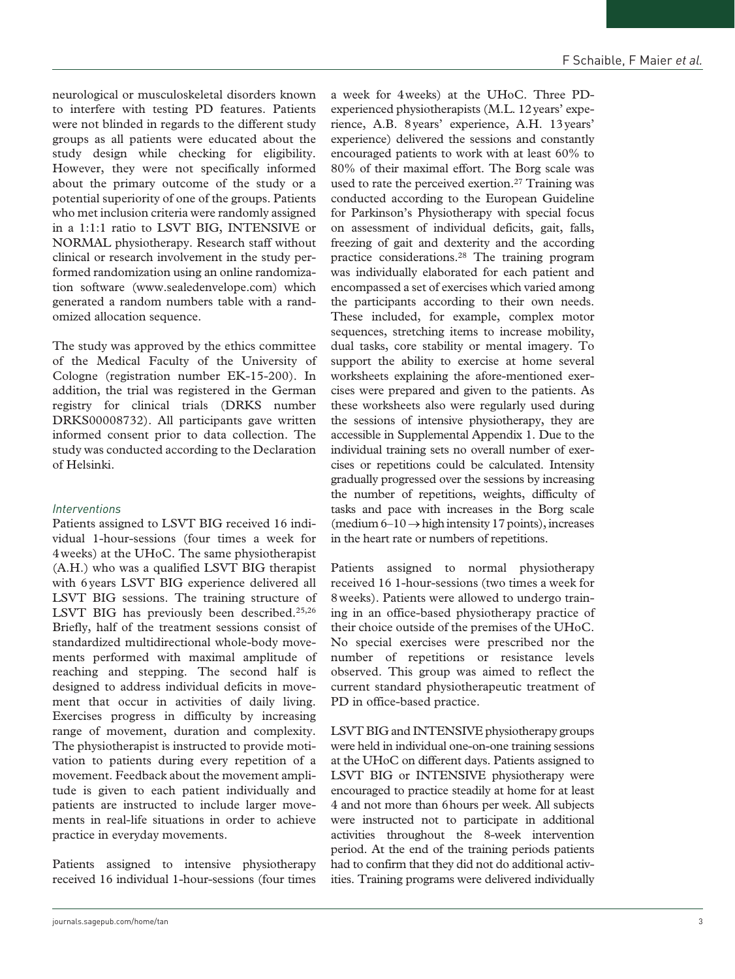neurological or musculoskeletal disorders known to interfere with testing PD features. Patients were not blinded in regards to the different study groups as all patients were educated about the study design while checking for eligibility. However, they were not specifically informed about the primary outcome of the study or a potential superiority of one of the groups. Patients who met inclusion criteria were randomly assigned in a 1:1:1 ratio to LSVT BIG, INTENSIVE or NORMAL physiotherapy. Research staff without clinical or research involvement in the study performed randomization using an online randomization software ([www.sealedenvelope.com\)](www.sealedenvelope.com) which generated a random numbers table with a randomized allocation sequence.

The study was approved by the ethics committee of the Medical Faculty of the University of Cologne (registration number EK-15-200). In addition, the trial was registered in the German registry for clinical trials (DRKS number DRKS00008732). All participants gave written informed consent prior to data collection. The study was conducted according to the Declaration of Helsinki.

# *Interventions*

Patients assigned to LSVT BIG received 16 individual 1-hour-sessions (four times a week for 4weeks) at the UHoC. The same physiotherapist (A.H.) who was a qualified LSVT BIG therapist with 6years LSVT BIG experience delivered all LSVT BIG sessions. The training structure of LSVT BIG has previously been described.<sup>25,26</sup> Briefly, half of the treatment sessions consist of standardized multidirectional whole-body movements performed with maximal amplitude of reaching and stepping. The second half is designed to address individual deficits in movement that occur in activities of daily living. Exercises progress in difficulty by increasing range of movement, duration and complexity. The physiotherapist is instructed to provide motivation to patients during every repetition of a movement. Feedback about the movement amplitude is given to each patient individually and patients are instructed to include larger movements in real-life situations in order to achieve practice in everyday movements.

Patients assigned to intensive physiotherapy received 16 individual 1-hour-sessions (four times a week for 4weeks) at the UHoC. Three PDexperienced physiotherapists (M.L. 12years' experience, A.B. 8years' experience, A.H. 13years' experience) delivered the sessions and constantly encouraged patients to work with at least 60% to 80% of their maximal effort. The Borg scale was used to rate the perceived exertion.<sup>27</sup> Training was conducted according to the European Guideline for Parkinson's Physiotherapy with special focus on assessment of individual deficits, gait, falls, freezing of gait and dexterity and the according practice considerations.28 The training program was individually elaborated for each patient and encompassed a set of exercises which varied among the participants according to their own needs. These included, for example, complex motor sequences, stretching items to increase mobility, dual tasks, core stability or mental imagery. To support the ability to exercise at home several worksheets explaining the afore-mentioned exercises were prepared and given to the patients. As these worksheets also were regularly used during the sessions of intensive physiotherapy, they are accessible in Supplemental Appendix 1. Due to the individual training sets no overall number of exercises or repetitions could be calculated. Intensity gradually progressed over the sessions by increasing the number of repetitions, weights, difficulty of tasks and pace with increases in the Borg scale (medium  $6-10 \rightarrow$  high intensity 17 points), increases in the heart rate or numbers of repetitions.

Patients assigned to normal physiotherapy received 16 1-hour-sessions (two times a week for 8weeks). Patients were allowed to undergo training in an office-based physiotherapy practice of their choice outside of the premises of the UHoC. No special exercises were prescribed nor the number of repetitions or resistance levels observed. This group was aimed to reflect the current standard physiotherapeutic treatment of PD in office-based practice.

LSVT BIG and INTENSIVE physiotherapy groups were held in individual one-on-one training sessions at the UHoC on different days. Patients assigned to LSVT BIG or INTENSIVE physiotherapy were encouraged to practice steadily at home for at least 4 and not more than 6hours per week. All subjects were instructed not to participate in additional activities throughout the 8-week intervention period. At the end of the training periods patients had to confirm that they did not do additional activities. Training programs were delivered individually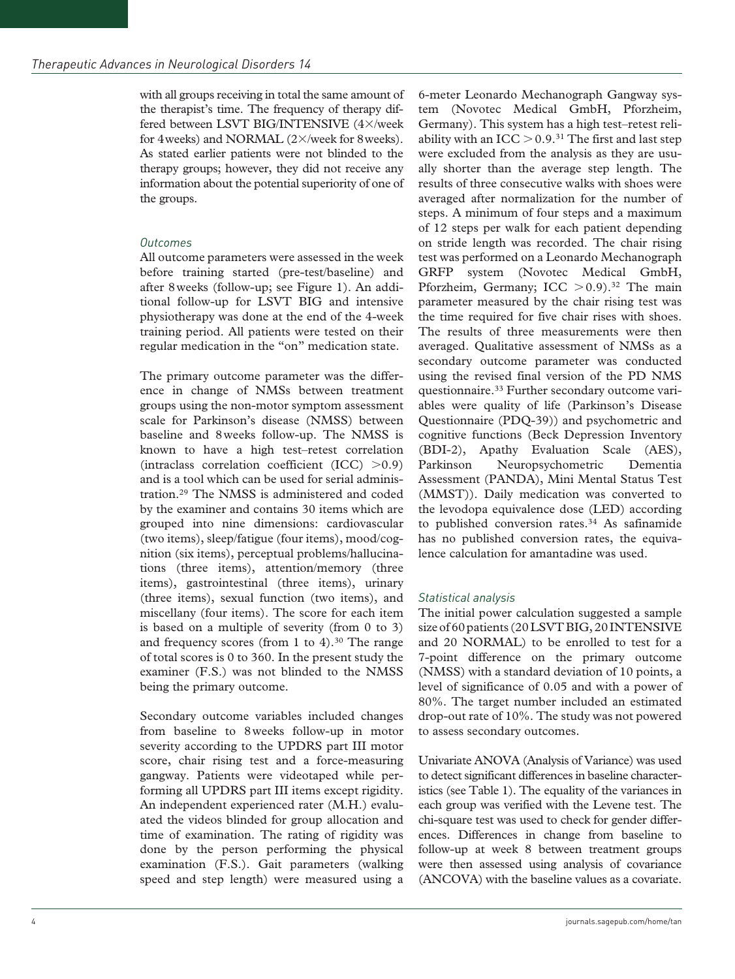with all groups receiving in total the same amount of the therapist's time. The frequency of therapy differed between LSVT BIG/INTENSIVE (4×/week for 4weeks) and NORMAL (2×/week for 8weeks). As stated earlier patients were not blinded to the therapy groups; however, they did not receive any information about the potential superiority of one of the groups.

# *Outcomes*

All outcome parameters were assessed in the week before training started (pre-test/baseline) and after 8weeks (follow-up; see Figure 1). An additional follow-up for LSVT BIG and intensive physiotherapy was done at the end of the 4-week training period. All patients were tested on their regular medication in the "on" medication state.

The primary outcome parameter was the difference in change of NMSs between treatment groups using the non-motor symptom assessment scale for Parkinson's disease (NMSS) between baseline and 8weeks follow-up. The NMSS is known to have a high test–retest correlation (intraclass correlation coefficient (ICC) >0.9) and is a tool which can be used for serial administration.29 The NMSS is administered and coded by the examiner and contains 30 items which are grouped into nine dimensions: cardiovascular (two items), sleep/fatigue (four items), mood/cognition (six items), perceptual problems/hallucinations (three items), attention/memory (three items), gastrointestinal (three items), urinary (three items), sexual function (two items), and miscellany (four items). The score for each item is based on a multiple of severity (from 0 to 3) and frequency scores (from 1 to 4).<sup>30</sup> The range of total scores is 0 to 360. In the present study the examiner (F.S.) was not blinded to the NMSS being the primary outcome.

Secondary outcome variables included changes from baseline to 8weeks follow-up in motor severity according to the UPDRS part III motor score, chair rising test and a force-measuring gangway. Patients were videotaped while performing all UPDRS part III items except rigidity. An independent experienced rater (M.H.) evaluated the videos blinded for group allocation and time of examination. The rating of rigidity was done by the person performing the physical examination (F.S.). Gait parameters (walking speed and step length) were measured using a 6-meter Leonardo Mechanograph Gangway system (Novotec Medical GmbH, Pforzheim, Germany). This system has a high test–retest reliability with an ICC  $>$  0.9.<sup>31</sup> The first and last step were excluded from the analysis as they are usually shorter than the average step length. The results of three consecutive walks with shoes were averaged after normalization for the number of steps. A minimum of four steps and a maximum of 12 steps per walk for each patient depending on stride length was recorded. The chair rising test was performed on a Leonardo Mechanograph GRFP system (Novotec Medical GmbH, Pforzheim, Germany; ICC  $> 0.9$ ).<sup>32</sup> The main parameter measured by the chair rising test was the time required for five chair rises with shoes. The results of three measurements were then averaged. Qualitative assessment of NMSs as a secondary outcome parameter was conducted using the revised final version of the PD NMS questionnaire.33 Further secondary outcome variables were quality of life (Parkinson's Disease Questionnaire (PDQ-39)) and psychometric and cognitive functions (Beck Depression Inventory (BDI-2), Apathy Evaluation Scale (AES), Parkinson Neuropsychometric Dementia Assessment (PANDA), Mini Mental Status Test (MMST)). Daily medication was converted to the levodopa equivalence dose (LED) according to published conversion rates.<sup>34</sup> As safinamide has no published conversion rates, the equivalence calculation for amantadine was used.

# *Statistical analysis*

The initial power calculation suggested a sample size of 60 patients (20 LSVT BIG, 20 INTENSIVE and 20 NORMAL) to be enrolled to test for a 7-point difference on the primary outcome (NMSS) with a standard deviation of 10 points, a level of significance of 0.05 and with a power of 80%. The target number included an estimated drop-out rate of 10%. The study was not powered to assess secondary outcomes.

Univariate ANOVA (Analysis of Variance) was used to detect significant differences in baseline characteristics (see Table 1). The equality of the variances in each group was verified with the Levene test. The chi-square test was used to check for gender differences. Differences in change from baseline to follow-up at week 8 between treatment groups were then assessed using analysis of covariance (ANCOVA) with the baseline values as a covariate.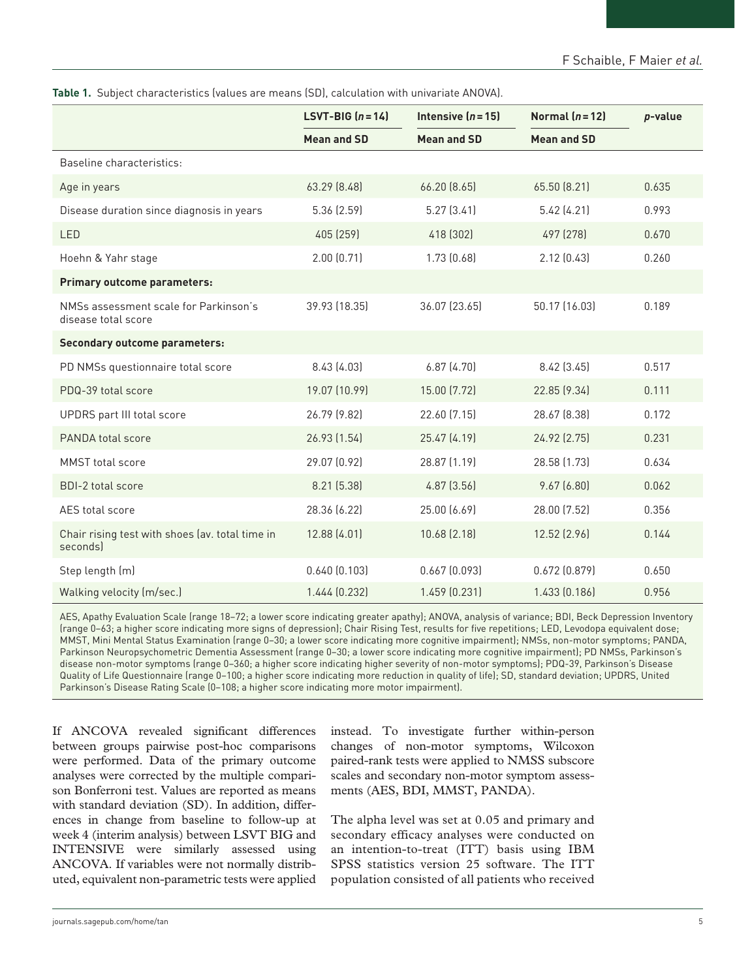| Table 1. Subject characteristics (values are means (SD), calculation with univariate ANOVA). |
|----------------------------------------------------------------------------------------------|
|----------------------------------------------------------------------------------------------|

|                                                              | LSVT-BIG $(n=14)$            | Intensive $(n=15)$ | Normal $(n=12)$    | p-value |
|--------------------------------------------------------------|------------------------------|--------------------|--------------------|---------|
|                                                              | <b>Mean and SD</b>           | <b>Mean and SD</b> | <b>Mean and SD</b> |         |
| Baseline characteristics:                                    |                              |                    |                    |         |
| Age in years                                                 | 63.29 (8.48)                 | 66.20 (8.65)       | 65.50 (8.21)       | 0.635   |
| Disease duration since diagnosis in years                    | 5.36 (2.59)                  | 5.27(3.41)         | 5.42(4.21)         | 0.993   |
| LED                                                          | 405 (259)                    | 418 (302)          | 497 (278)          | 0.670   |
| Hoehn & Yahr stage                                           | 2.00(0.71)                   | 1.73(0.68)         | 2.12(0.43)         |         |
| Primary outcome parameters:                                  |                              |                    |                    |         |
| NMSs assessment scale for Parkinson's<br>disease total score | 39.93 (18.35)                | 36.07 (23.65)      | 50.17 (16.03)      | 0.189   |
| <b>Secondary outcome parameters:</b>                         |                              |                    |                    |         |
| PD NMSs questionnaire total score                            | 8.43 (4.03)                  | 6.87(4.70)         | 8.42 (3.45)        | 0.517   |
| PDQ-39 total score                                           | 19.07 (10.99)                | 15.00 (7.72)       | 22.85 (9.34)       | 0.111   |
| UPDRS part III total score                                   | 26.79 (9.82)<br>22.60 (7.15) |                    | 28.67 (8.38)       | 0.172   |
| PANDA total score                                            | 26.93 (1.54)                 | 25.47 (4.19)       | 24.92 (2.75)       | 0.231   |
| <b>MMST</b> total score                                      | 29.07 (0.92)                 | 28.87 (1.19)       | 28.58 (1.73)       | 0.634   |
| <b>BDI-2 total score</b>                                     | 8.21 (5.38)                  | $4.87$ $(3.56)$    | 9.67(6.80)         | 0.062   |
| AES total score                                              | 28.36 (6.22)                 | 25.00 (6.69)       | 28.00 (7.52)       | 0.356   |
| Chair rising test with shoes (av. total time in<br>secondsl  | 12.88 (4.01)                 | 10.68 (2.18)       | 12.52 (2.96)       | 0.144   |
| Step length (m)                                              | 0.640(0.103)                 | $0.667$ $(0.093)$  | 0.672(0.879)       | 0.650   |
| Walking velocity (m/sec.)                                    | 1.444 (0.232)                | 1.459 (0.231)      | 1.433 (0.186)      | 0.956   |

AES, Apathy Evaluation Scale (range 18–72; a lower score indicating greater apathy); ANOVA, analysis of variance; BDI, Beck Depression Inventory (range 0–63; a higher score indicating more signs of depression); Chair Rising Test, results for five repetitions; LED, Levodopa equivalent dose; MMST, Mini Mental Status Examination (range 0–30; a lower score indicating more cognitive impairment); NMSs, non-motor symptoms; PANDA, Parkinson Neuropsychometric Dementia Assessment (range 0–30; a lower score indicating more cognitive impairment); PD NMSs, Parkinson's disease non-motor symptoms (range 0–360; a higher score indicating higher severity of non-motor symptoms); PDQ-39, Parkinson's Disease Quality of Life Questionnaire (range 0–100; a higher score indicating more reduction in quality of life); SD, standard deviation; UPDRS, United Parkinson's Disease Rating Scale (0–108; a higher score indicating more motor impairment).

If ANCOVA revealed significant differences between groups pairwise post-hoc comparisons were performed. Data of the primary outcome analyses were corrected by the multiple comparison Bonferroni test. Values are reported as means with standard deviation (SD). In addition, differences in change from baseline to follow-up at week 4 (interim analysis) between LSVT BIG and INTENSIVE were similarly assessed using ANCOVA. If variables were not normally distributed, equivalent non-parametric tests were applied

instead. To investigate further within-person changes of non-motor symptoms, Wilcoxon paired-rank tests were applied to NMSS subscore scales and secondary non-motor symptom assessments (AES, BDI, MMST, PANDA).

The alpha level was set at 0.05 and primary and secondary efficacy analyses were conducted on an intention-to-treat (ITT) basis using IBM SPSS statistics version 25 software. The ITT population consisted of all patients who received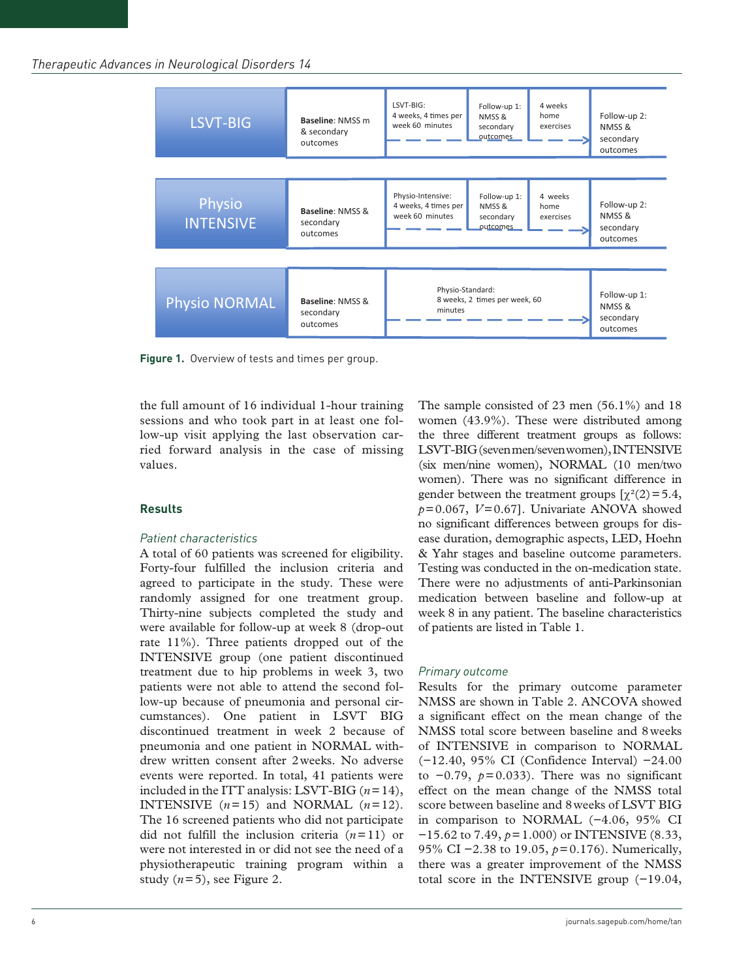| LSVT-BIG                   | Baseline: NMSS m<br>& secondary<br>outcomes | LSVT-BIG:<br>4 weeks, 4 times per<br>week 60 minutes         | Follow-up 1:<br>NMSS &<br>secondary<br>outcomes | 4 weeks<br>home<br>exercises | Follow-up 2:<br>NMSS &<br>secondary<br>outcomes |
|----------------------------|---------------------------------------------|--------------------------------------------------------------|-------------------------------------------------|------------------------------|-------------------------------------------------|
| Physio<br><b>INTENSIVE</b> | Baseline: NMSS &<br>secondary<br>outcomes   | Physio-Intensive:<br>4 weeks, 4 times per<br>week 60 minutes | Follow-up 1:<br>NMSS &<br>secondary<br>outcomes | 4 weeks<br>home<br>exercises | Follow-up 2:<br>NMSS &<br>secondary<br>outcomes |
| <b>Physio NORMAL</b>       | Baseline: NMSS &<br>secondary<br>outcomes   | Physio-Standard:<br>minutes                                  | 8 weeks, 2 times per week, 60                   |                              | Follow-up 1:<br>NMSS &<br>secondary<br>outcomes |

**Figure 1.** Overview of tests and times per group.

the full amount of 16 individual 1-hour training sessions and who took part in at least one follow-up visit applying the last observation carried forward analysis in the case of missing values.

## **Results**

## *Patient characteristics*

A total of 60 patients was screened for eligibility. Forty-four fulfilled the inclusion criteria and agreed to participate in the study. These were randomly assigned for one treatment group. Thirty-nine subjects completed the study and were available for follow-up at week 8 (drop-out rate 11%). Three patients dropped out of the INTENSIVE group (one patient discontinued treatment due to hip problems in week 3, two patients were not able to attend the second follow-up because of pneumonia and personal circumstances). One patient in LSVT BIG discontinued treatment in week 2 because of pneumonia and one patient in NORMAL withdrew written consent after 2weeks. No adverse events were reported. In total, 41 patients were included in the ITT analysis: LSVT-BIG (*n*=14), **INTENSIVE**  $(n=15)$  and **NORMAL**  $(n=12)$ . The 16 screened patients who did not participate did not fulfill the inclusion criteria (*n*=11) or were not interested in or did not see the need of a physiotherapeutic training program within a study  $(n=5)$ , see Figure 2.

The sample consisted of 23 men (56.1%) and 18 women (43.9%). These were distributed among the three different treatment groups as follows: LSVT-BIG (seven men/seven women), INTENSIVE (six men/nine women), NORMAL (10 men/two women). There was no significant difference in gender between the treatment groups  $[\gamma^2(2) = 5.4]$ , *p*=0.067, *V*=0.67]. Univariate ANOVA showed no significant differences between groups for disease duration, demographic aspects, LED, Hoehn & Yahr stages and baseline outcome parameters. Testing was conducted in the on-medication state. There were no adjustments of anti-Parkinsonian medication between baseline and follow-up at week 8 in any patient. The baseline characteristics of patients are listed in Table 1.

## *Primary outcome*

Results for the primary outcome parameter NMSS are shown in Table 2. ANCOVA showed a significant effect on the mean change of the NMSS total score between baseline and 8weeks of INTENSIVE in comparison to NORMAL (−12.40, 95% CI (Confidence Interval) −24.00 to  $-0.79$ ,  $p = 0.033$ ). There was no significant effect on the mean change of the NMSS total score between baseline and 8weeks of LSVT BIG in comparison to NORMAL (−4.06, 95% CI −15.62 to 7.49, *p*=1.000) or INTENSIVE (8.33, 95% CI −2.38 to 19.05,  $p=0.176$ ). Numerically, there was a greater improvement of the NMSS total score in the INTENSIVE group (−19.04,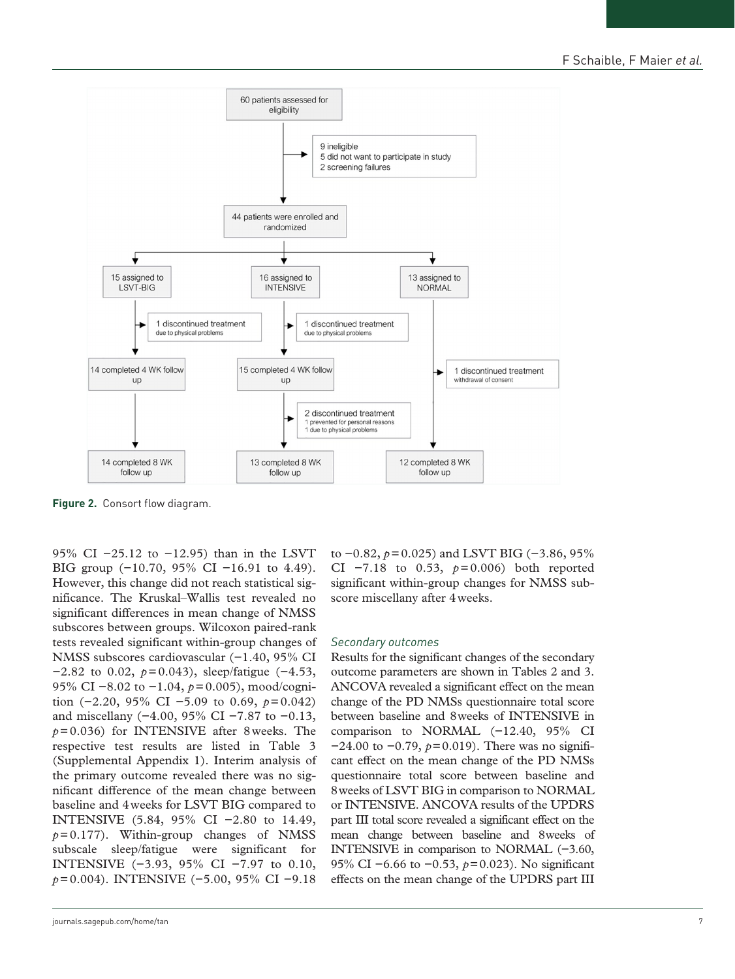

**Figure 2.** Consort flow diagram.

95% CI −25.12 to −12.95) than in the LSVT BIG group (−10.70, 95% CI −16.91 to 4.49). However, this change did not reach statistical significance. The Kruskal–Wallis test revealed no significant differences in mean change of NMSS subscores between groups. Wilcoxon paired-rank tests revealed significant within-group changes of NMSS subscores cardiovascular (−1.40, 95% CI −2.82 to 0.02, *p*=0.043), sleep/fatigue (−4.53, 95% CI −8.02 to −1.04,  $p=0.005$ ), mood/cognition (−2.20, 95% CI −5.09 to 0.69, *p*=0.042) and miscellany (−4.00, 95% CI −7.87 to −0.13, *p*=0.036) for INTENSIVE after 8weeks. The respective test results are listed in Table 3 (Supplemental Appendix 1). Interim analysis of the primary outcome revealed there was no significant difference of the mean change between baseline and 4weeks for LSVT BIG compared to INTENSIVE (5.84, 95% CI −2.80 to 14.49,  $p=0.177$ ). Within-group changes of NMSS subscale sleep/fatigue were significant for INTENSIVE (−3.93, 95% CI −7.97 to 0.10, *p*=0.004). INTENSIVE (−5.00, 95% CI −9.18

to −0.82, *p*=0.025) and LSVT BIG (−3.86, 95% CI −7.18 to 0.53, *p*=0.006) both reported significant within-group changes for NMSS subscore miscellany after 4weeks.

#### *Secondary outcomes*

Results for the significant changes of the secondary outcome parameters are shown in Tables 2 and 3. ANCOVA revealed a significant effect on the mean change of the PD NMSs questionnaire total score between baseline and 8weeks of INTENSIVE in comparison to NORMAL (−12.40, 95% CI −24.00 to −0.79, *p*=0.019). There was no significant effect on the mean change of the PD NMSs questionnaire total score between baseline and 8weeks of LSVT BIG in comparison to NORMAL or INTENSIVE. ANCOVA results of the UPDRS part III total score revealed a significant effect on the mean change between baseline and 8weeks of INTENSIVE in comparison to NORMAL (−3.60, 95% CI −6.66 to −0.53, *p*=0.023). No significant effects on the mean change of the UPDRS part III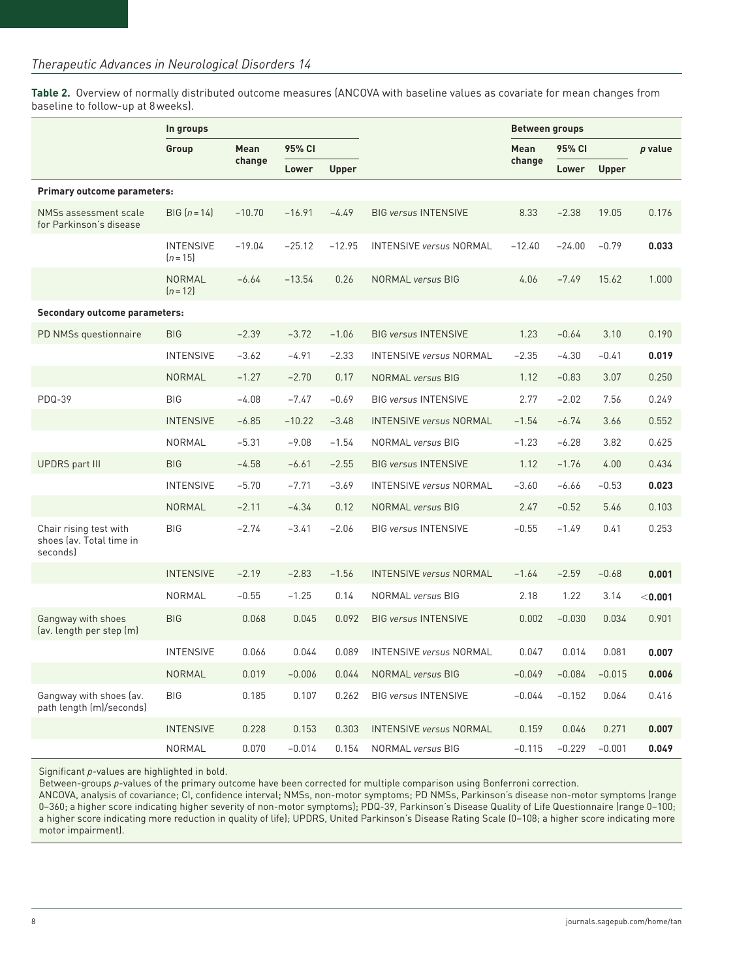**Table 2.** Overview of normally distributed outcome measures (ANCOVA with baseline values as covariate for mean changes from baseline to follow-up at 8weeks).

|                                                                | In groups                      |             |          |              |                                | <b>Between groups</b> |          |              |         |
|----------------------------------------------------------------|--------------------------------|-------------|----------|--------------|--------------------------------|-----------------------|----------|--------------|---------|
|                                                                | Group                          | <b>Mean</b> | 95% CI   |              |                                | Mean                  | 95% CI   |              | p value |
|                                                                |                                | change      | Lower    | <b>Upper</b> |                                | change                | Lower    | <b>Upper</b> |         |
| Primary outcome parameters:                                    |                                |             |          |              |                                |                       |          |              |         |
| NMSs assessment scale<br>for Parkinson's disease               | $BIG [n = 14]$                 | $-10.70$    | $-16.91$ | $-4.49$      | <b>BIG versus INTENSIVE</b>    | 8.33                  | $-2.38$  | 19.05        | 0.176   |
|                                                                | <b>INTENSIVE</b><br>$[n = 15]$ | $-19.04$    | $-25.12$ | $-12.95$     | <b>INTENSIVE versus NORMAL</b> | $-12.40$              | $-24.00$ | $-0.79$      | 0.033   |
|                                                                | NORMAL<br>$[n=12]$             | $-6.64$     | $-13.54$ | 0.26         | <b>NORMAL</b> versus BIG       | 4.06                  | $-7.49$  | 15.62        | 1.000   |
| Secondary outcome parameters:                                  |                                |             |          |              |                                |                       |          |              |         |
| PD NMSs questionnaire                                          | <b>BIG</b>                     | $-2.39$     | $-3.72$  | $-1.06$      | <b>BIG versus INTENSIVE</b>    | 1.23                  | $-0.64$  | 3.10         | 0.190   |
|                                                                | <b>INTENSIVE</b>               | $-3.62$     | $-4.91$  | $-2.33$      | <b>INTENSIVE versus NORMAL</b> | $-2.35$               | $-4.30$  | $-0.41$      | 0.019   |
|                                                                | <b>NORMAL</b>                  | $-1.27$     | $-2.70$  | 0.17         | <b>NORMAL versus BIG</b>       | 1.12                  | $-0.83$  | 3.07         | 0.250   |
| <b>PDQ-39</b>                                                  | <b>BIG</b>                     | $-4.08$     | $-7.47$  | $-0.69$      | <b>BIG versus INTENSIVE</b>    | 2.77                  | $-2.02$  | 7.56         | 0.249   |
|                                                                | <b>INTENSIVE</b>               | $-6.85$     | $-10.22$ | $-3.48$      | <b>INTENSIVE versus NORMAL</b> | $-1.54$               | $-6.74$  | 3.66         | 0.552   |
|                                                                | NORMAL                         | $-5.31$     | $-9.08$  | $-1.54$      | <b>NORMAL</b> versus BIG       | $-1.23$               | $-6.28$  | 3.82         | 0.625   |
| <b>UPDRS</b> part III                                          | <b>BIG</b>                     | $-4.58$     | $-6.61$  | $-2.55$      | <b>BIG versus INTENSIVE</b>    | 1.12                  | $-1.76$  | 4.00         | 0.434   |
|                                                                | <b>INTENSIVE</b>               | $-5.70$     | $-7.71$  | $-3.69$      | <b>INTENSIVE versus NORMAL</b> | $-3.60$               | $-6.66$  | $-0.53$      | 0.023   |
|                                                                | <b>NORMAL</b>                  | $-2.11$     | $-4.34$  | 0.12         | NORMAL versus BIG              | 2.47                  | $-0.52$  | 5.46         | 0.103   |
| Chair rising test with<br>shoes lav. Total time in<br>seconds) | <b>BIG</b>                     | $-2.74$     | $-3.41$  | $-2.06$      | <b>BIG versus INTENSIVE</b>    | $-0.55$               | $-1.49$  | 0.41         | 0.253   |
|                                                                | <b>INTENSIVE</b>               | $-2.19$     | $-2.83$  | $-1.56$      | <b>INTENSIVE versus NORMAL</b> | $-1.64$               | $-2.59$  | $-0.68$      | 0.001   |
|                                                                | NORMAL                         | $-0.55$     | $-1.25$  | 0.14         | <b>NORMAL versus BIG</b>       | 2.18                  | 1.22     | 3.14         | < 0.001 |
| Gangway with shoes<br>(av. length per step (m)                 | <b>BIG</b>                     | 0.068       | 0.045    | 0.092        | <b>BIG versus INTENSIVE</b>    | 0.002                 | $-0.030$ | 0.034        | 0.901   |
|                                                                | <b>INTENSIVE</b>               | 0.066       | 0.044    | 0.089        | <b>INTENSIVE versus NORMAL</b> | 0.047                 | 0.014    | 0.081        | 0.007   |
|                                                                | <b>NORMAL</b>                  | 0.019       | $-0.006$ | 0.044        | <b>NORMAL</b> versus BIG       | $-0.049$              | $-0.084$ | $-0.015$     | 0.006   |
| Gangway with shoes (av.<br>path length (m)/seconds)            | <b>BIG</b>                     | 0.185       | 0.107    | 0.262        | <b>BIG versus INTENSIVE</b>    | $-0.044$              | $-0.152$ | 0.064        | 0.416   |
|                                                                | <b>INTENSIVE</b>               | 0.228       | 0.153    | 0.303        | <b>INTENSIVE versus NORMAL</b> | 0.159                 | 0.046    | 0.271        | 0.007   |
|                                                                | <b>NORMAL</b>                  | 0.070       | $-0.014$ | 0.154        | <b>NORMAL</b> versus BIG       | $-0.115$              | $-0.229$ | $-0.001$     | 0.049   |

Significant *p*-values are highlighted in bold.

Between-groups *p*-values of the primary outcome have been corrected for multiple comparison using Bonferroni correction.

ANCOVA, analysis of covariance; CI, confidence interval; NMSs, non-motor symptoms; PD NMSs, Parkinson's disease non-motor symptoms (range 0–360; a higher score indicating higher severity of non-motor symptoms); PDQ-39, Parkinson's Disease Quality of Life Questionnaire (range 0–100; a higher score indicating more reduction in quality of life); UPDRS, United Parkinson's Disease Rating Scale (0–108; a higher score indicating more motor impairment).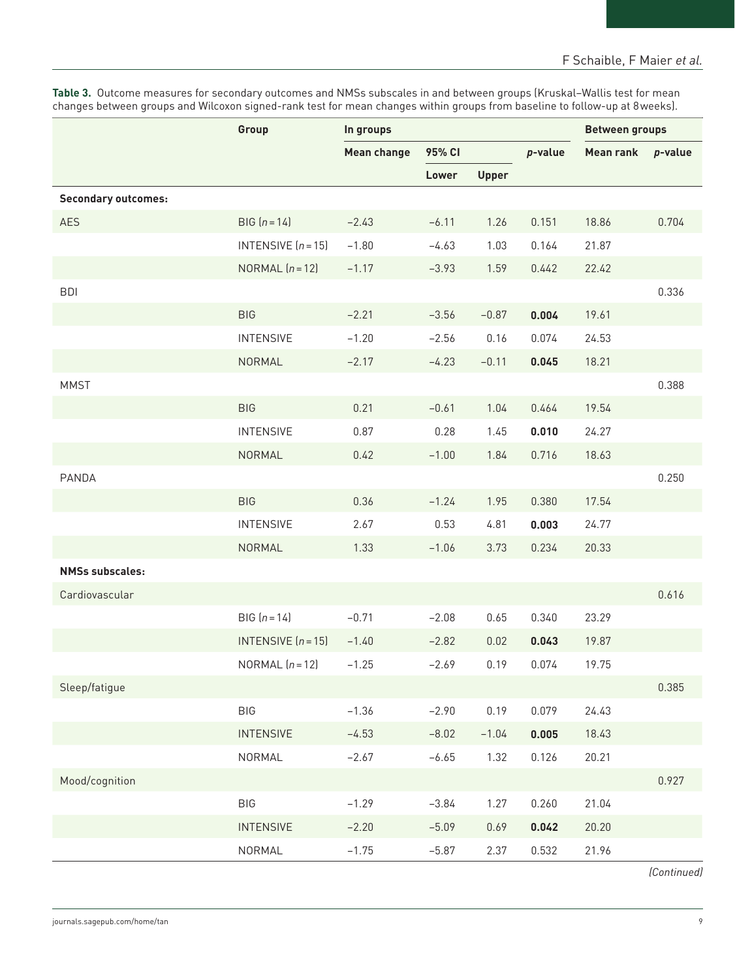**Table 3.** Outcome measures for secondary outcomes and NMSs subscales in and between groups (Kruskal–Wallis test for mean changes between groups and Wilcoxon signed-rank test for mean changes within groups from baseline to follow-up at 8weeks).

|                            | Group                | In groups          |         |              |            | <b>Between groups</b> |         |
|----------------------------|----------------------|--------------------|---------|--------------|------------|-----------------------|---------|
|                            |                      | <b>Mean change</b> | 95% CI  |              | $p$ -value | <b>Mean rank</b>      | p-value |
|                            |                      |                    | Lower   | <b>Upper</b> |            |                       |         |
| <b>Secondary outcomes:</b> |                      |                    |         |              |            |                       |         |
| <b>AES</b>                 | $BIG [n = 14]$       | $-2.43$            | $-6.11$ | 1.26         | 0.151      | 18.86                 | 0.704   |
|                            | INTENSIVE $(n = 15)$ | $-1.80$            | $-4.63$ | 1.03         | 0.164      | 21.87                 |         |
|                            | NORMAL $(n=12)$      | $-1.17$            | $-3.93$ | 1.59         | 0.442      | 22.42                 |         |
| <b>BDI</b>                 |                      |                    |         |              |            |                       | 0.336   |
|                            | <b>BIG</b>           | $-2.21$            | $-3.56$ | $-0.87$      | 0.004      | 19.61                 |         |
|                            | <b>INTENSIVE</b>     | $-1.20$            | $-2.56$ | 0.16         | 0.074      | 24.53                 |         |
|                            | NORMAL               | $-2.17$            | $-4.23$ | $-0.11$      | 0.045      | 18.21                 |         |
| <b>MMST</b>                |                      |                    |         |              |            |                       | 0.388   |
|                            | <b>BIG</b>           | 0.21               | $-0.61$ | 1.04         | 0.464      | 19.54                 |         |
|                            | <b>INTENSIVE</b>     | 0.87               | 0.28    | 1.45         | 0.010      | 24.27                 |         |
|                            | NORMAL               | 0.42               | $-1.00$ | 1.84         | 0.716      | 18.63                 |         |
| PANDA                      |                      |                    |         |              |            |                       | 0.250   |
|                            | <b>BIG</b>           | 0.36               | $-1.24$ | 1.95         | 0.380      | 17.54                 |         |
|                            | <b>INTENSIVE</b>     | 2.67               | 0.53    | 4.81         | 0.003      | 24.77                 |         |
|                            | NORMAL               | 1.33               | $-1.06$ | 3.73         | 0.234      | 20.33                 |         |
| <b>NMSs subscales:</b>     |                      |                    |         |              |            |                       |         |
| Cardiovascular             |                      |                    |         |              |            |                       | 0.616   |
|                            | $BIG [n = 14]$       | $-0.71$            | $-2.08$ | 0.65         | 0.340      | 23.29                 |         |
|                            | INTENSIVE $(n = 15)$ | $-1.40$            | $-2.82$ | 0.02         | 0.043      | 19.87                 |         |
|                            | NORMAL $(n=12)$      | $-1.25$            | $-2.69$ | 0.19         | 0.074      | 19.75                 |         |
| Sleep/fatigue              |                      |                    |         |              |            |                       | 0.385   |
|                            | <b>BIG</b>           | $-1.36$            | $-2.90$ | 0.19         | 0.079      | 24.43                 |         |
|                            | <b>INTENSIVE</b>     | $-4.53$            | $-8.02$ | $-1.04$      | 0.005      | 18.43                 |         |
|                            | NORMAL               | $-2.67$            | $-6.65$ | 1.32         | 0.126      | 20.21                 |         |
| Mood/cognition             |                      |                    |         |              |            |                       | 0.927   |
|                            | <b>BIG</b>           | $-1.29$            | $-3.84$ | 1.27         | 0.260      | 21.04                 |         |
|                            | <b>INTENSIVE</b>     | $-2.20$            | $-5.09$ | 0.69         | 0.042      | 20.20                 |         |
|                            | NORMAL               | $-1.75$            | $-5.87$ | 2.37         | 0.532      | 21.96                 |         |

*(Continued)*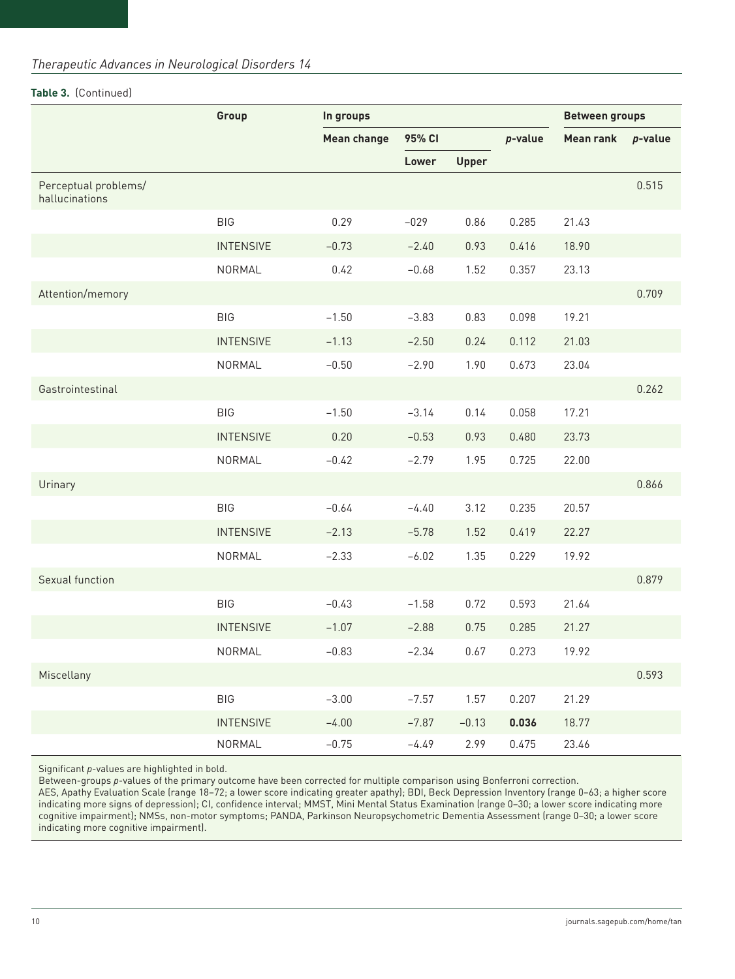# *Therapeutic Advances in Neurological Disorders 14*

# **Table 3.** (Continued)

|                                        | Group            | In groups          |         |              |         | <b>Between groups</b> |            |  |
|----------------------------------------|------------------|--------------------|---------|--------------|---------|-----------------------|------------|--|
|                                        |                  | <b>Mean change</b> | 95% CI  |              | p-value | <b>Mean rank</b>      | $p$ -value |  |
|                                        |                  |                    | Lower   | <b>Upper</b> |         |                       |            |  |
| Perceptual problems/<br>hallucinations |                  |                    |         |              |         |                       | 0.515      |  |
|                                        | <b>BIG</b>       | 0.29               | $-029$  | 0.86         | 0.285   | 21.43                 |            |  |
|                                        | <b>INTENSIVE</b> | $-0.73$            | $-2.40$ | 0.93         | 0.416   | 18.90                 |            |  |
|                                        | NORMAL           | 0.42               | $-0.68$ | 1.52         | 0.357   | 23.13                 |            |  |
| Attention/memory                       |                  |                    |         |              |         |                       | 0.709      |  |
|                                        | <b>BIG</b>       | $-1.50$            | $-3.83$ | 0.83         | 0.098   | 19.21                 |            |  |
|                                        | <b>INTENSIVE</b> | $-1.13$            | $-2.50$ | 0.24         | 0.112   | 21.03                 |            |  |
|                                        | NORMAL           | $-0.50$            | $-2.90$ | 1.90         | 0.673   | 23.04                 |            |  |
| Gastrointestinal                       |                  |                    |         |              |         |                       | 0.262      |  |
|                                        | <b>BIG</b>       | $-1.50$            | $-3.14$ | 0.14         | 0.058   | 17.21                 |            |  |
|                                        | <b>INTENSIVE</b> | 0.20               | $-0.53$ | 0.93         | 0.480   | 23.73                 |            |  |
|                                        | NORMAL           | $-0.42$            | $-2.79$ | 1.95         | 0.725   | 22.00                 |            |  |
| Urinary                                |                  |                    |         |              |         |                       | 0.866      |  |
|                                        | <b>BIG</b>       | $-0.64$            | $-4.40$ | 3.12         | 0.235   | 20.57                 |            |  |
|                                        | <b>INTENSIVE</b> | $-2.13$            | $-5.78$ | 1.52         | 0.419   | 22.27                 |            |  |
|                                        | NORMAL           | $-2.33$            | $-6.02$ | 1.35         | 0.229   | 19.92                 |            |  |
| Sexual function                        |                  |                    |         |              |         |                       | 0.879      |  |
|                                        | <b>BIG</b>       | $-0.43$            | $-1.58$ | 0.72         | 0.593   | 21.64                 |            |  |
|                                        | <b>INTENSIVE</b> | $-1.07$            | $-2.88$ | 0.75         | 0.285   | 21.27                 |            |  |
|                                        | NORMAL           | $-0.83$            | $-2.34$ | 0.67         | 0.273   | 19.92                 |            |  |
| Miscellany                             |                  |                    |         |              |         |                       | 0.593      |  |
|                                        | BIG              | $-3.00$            | $-7.57$ | 1.57         | 0.207   | 21.29                 |            |  |
|                                        | <b>INTENSIVE</b> | $-4.00$            | $-7.87$ | $-0.13$      | 0.036   | 18.77                 |            |  |
|                                        | NORMAL           | $-0.75$            | $-4.49$ | 2.99         | 0.475   | 23.46                 |            |  |

Significant *p*-values are highlighted in bold.

Between-groups *p*-values of the primary outcome have been corrected for multiple comparison using Bonferroni correction.

AES, Apathy Evaluation Scale (range 18–72; a lower score indicating greater apathy); BDI, Beck Depression Inventory (range 0–63; a higher score indicating more signs of depression); CI, confidence interval; MMST, Mini Mental Status Examination (range 0–30; a lower score indicating more cognitive impairment); NMSs, non-motor symptoms; PANDA, Parkinson Neuropsychometric Dementia Assessment (range 0–30; a lower score indicating more cognitive impairment).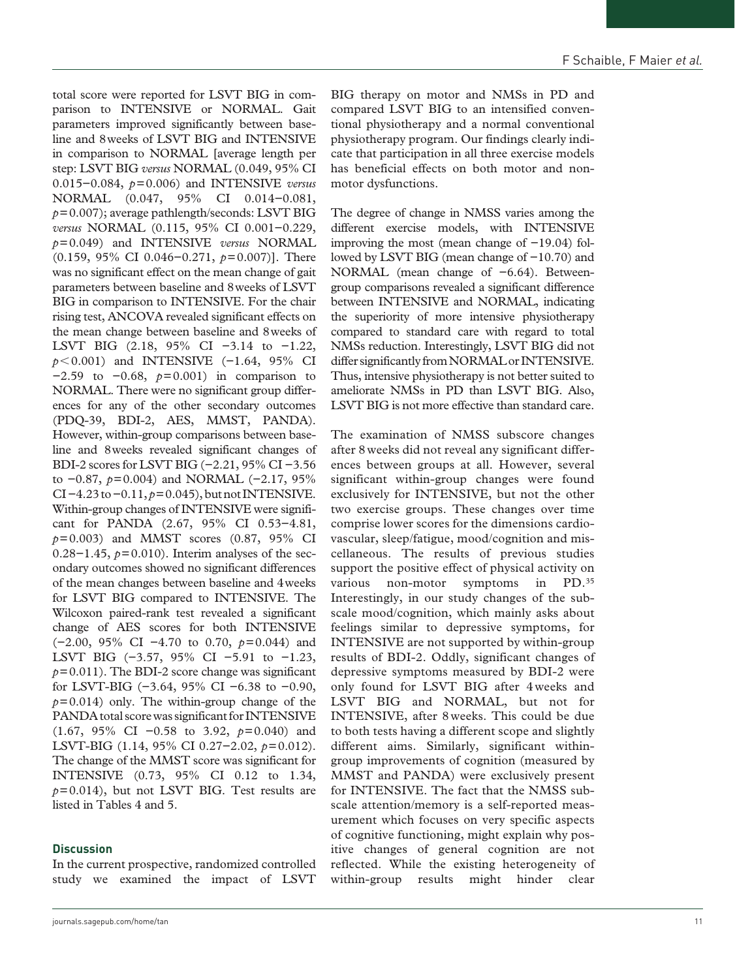total score were reported for LSVT BIG in comparison to INTENSIVE or NORMAL. Gait parameters improved significantly between baseline and 8weeks of LSVT BIG and INTENSIVE in comparison to NORMAL [average length per step: LSVT BIG *versus* NORMAL (0.049, 95% CI 0.015−0.084, *p*=0.006) and INTENSIVE *versus* NORMAL (0.047, 95% CI 0.014−0.081, *p*=0.007); average pathlength/seconds: LSVT BIG *versus* NORMAL (0.115, 95% CI 0.001−0.229, *p*=0.049) and INTENSIVE *versus* NORMAL (0.159, 95% CI 0.046−0.271, *p*=0.007)]. There was no significant effect on the mean change of gait parameters between baseline and 8weeks of LSVT BIG in comparison to INTENSIVE. For the chair rising test, ANCOVA revealed significant effects on the mean change between baseline and 8weeks of LSVT BIG (2.18, 95% CI −3.14 to −1.22, *p* < 0.001) and INTENSIVE (−1.64, 95% CI −2.59 to −0.68, *p*=0.001) in comparison to NORMAL. There were no significant group differences for any of the other secondary outcomes (PDQ-39, BDI-2, AES, MMST, PANDA). However, within-group comparisons between baseline and 8weeks revealed significant changes of BDI-2 scores for LSVT BIG (−2.21, 95% CI −3.56 to −0.87, *p*=0.004) and NORMAL (−2.17, 95% CI −4.23 to −0.11, *p*=0.045), but not INTENSIVE. Within-group changes of INTENSIVE were significant for PANDA (2.67, 95% CI 0.53−4.81, *p*=0.003) and MMST scores (0.87, 95% CI 0.28−1.45, *p*=0.010). Interim analyses of the secondary outcomes showed no significant differences of the mean changes between baseline and 4weeks for LSVT BIG compared to INTENSIVE. The Wilcoxon paired-rank test revealed a significant change of AES scores for both INTENSIVE (−2.00, 95% CI −4.70 to 0.70, *p*=0.044) and LSVT BIG (−3.57, 95% CI −5.91 to −1.23,  $p=0.011$ ). The BDI-2 score change was significant for LSVT-BIG (−3.64, 95% CI −6.38 to −0.90,  $p=0.014$ ) only. The within-group change of the PANDA total score was significant for INTENSIVE (1.67, 95% CI −0.58 to 3.92, *p*=0.040) and LSVT-BIG (1.14, 95% CI 0.27−2.02, *p*=0.012). The change of the MMST score was significant for INTENSIVE (0.73, 95% CI 0.12 to 1.34,  $p=0.014$ ), but not LSVT BIG. Test results are listed in Tables 4 and 5.

#### **Discussion**

In the current prospective, randomized controlled study we examined the impact of LSVT

[journals.sagepub.com/home/tan](https://journals.sagepub.com/home/tan) 11

BIG therapy on motor and NMSs in PD and compared LSVT BIG to an intensified conventional physiotherapy and a normal conventional physiotherapy program. Our findings clearly indicate that participation in all three exercise models has beneficial effects on both motor and nonmotor dysfunctions.

The degree of change in NMSS varies among the different exercise models, with INTENSIVE improving the most (mean change of −19.04) followed by LSVT BIG (mean change of −10.70) and NORMAL (mean change of −6.64). Betweengroup comparisons revealed a significant difference between INTENSIVE and NORMAL, indicating the superiority of more intensive physiotherapy compared to standard care with regard to total NMSs reduction. Interestingly, LSVT BIG did not differ significantly from NORMAL or INTENSIVE. Thus, intensive physiotherapy is not better suited to ameliorate NMSs in PD than LSVT BIG. Also, LSVT BIG is not more effective than standard care.

The examination of NMSS subscore changes after 8weeks did not reveal any significant differences between groups at all. However, several significant within-group changes were found exclusively for INTENSIVE, but not the other two exercise groups. These changes over time comprise lower scores for the dimensions cardiovascular, sleep/fatigue, mood/cognition and miscellaneous. The results of previous studies support the positive effect of physical activity on various non-motor symptoms in PD.35 Interestingly, in our study changes of the subscale mood/cognition, which mainly asks about feelings similar to depressive symptoms, for INTENSIVE are not supported by within-group results of BDI-2. Oddly, significant changes of depressive symptoms measured by BDI-2 were only found for LSVT BIG after 4weeks and LSVT BIG and NORMAL, but not for INTENSIVE, after 8weeks. This could be due to both tests having a different scope and slightly different aims. Similarly, significant withingroup improvements of cognition (measured by MMST and PANDA) were exclusively present for INTENSIVE. The fact that the NMSS subscale attention/memory is a self-reported measurement which focuses on very specific aspects of cognitive functioning, might explain why positive changes of general cognition are not reflected. While the existing heterogeneity of within-group results might hinder clear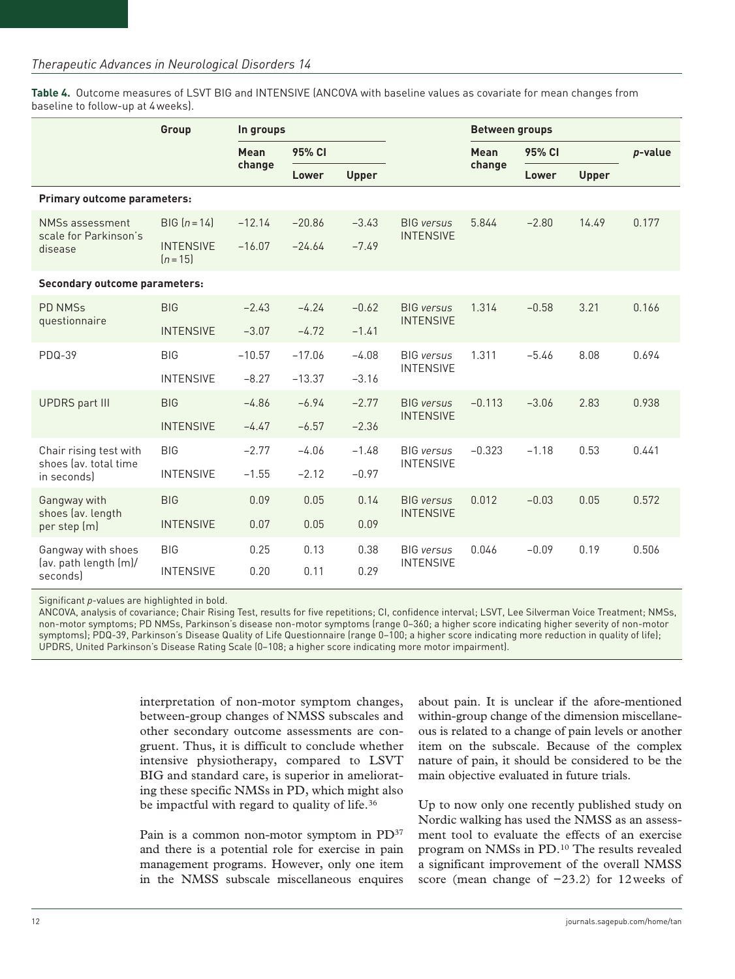**Table 4.** Outcome measures of LSVT BIG and INTENSIVE (ANCOVA with baseline values as covariate for mean changes from baseline to follow-up at 4weeks).

| Group                                               |                              | In groups |          |              |                   | <b>Between groups</b> |         |              |         |
|-----------------------------------------------------|------------------------------|-----------|----------|--------------|-------------------|-----------------------|---------|--------------|---------|
|                                                     |                              | Mean      | 95% CI   |              |                   | Mean                  | 95% CI  |              | p-value |
|                                                     |                              | change    | Lower    | <b>Upper</b> |                   | change                | Lower   | <b>Upper</b> |         |
| Primary outcome parameters:                         |                              |           |          |              |                   |                       |         |              |         |
| NMSs assessment<br>scale for Parkinson's<br>disease | $BIG [n = 14]$               | $-12.14$  | $-20.86$ | $-3.43$      | <b>BIG</b> versus | 5.844                 | $-2.80$ | 14.49        | 0.177   |
|                                                     | <b>INTENSIVE</b><br>$[n=15]$ | $-16.07$  | $-24.64$ | $-7.49$      | <b>INTENSIVE</b>  |                       |         |              |         |
| <b>Secondary outcome parameters:</b>                |                              |           |          |              |                   |                       |         |              |         |
| <b>PD NMSs</b><br>questionnaire                     | <b>BIG</b>                   | $-2.43$   | $-4.24$  | $-0.62$      | <b>BIG</b> versus | 1.314                 | $-0.58$ | 3.21         | 0.166   |
|                                                     | <b>INTENSIVE</b>             | $-3.07$   | $-4.72$  | $-1.41$      | <b>INTENSIVE</b>  |                       |         |              |         |
| <b>PDQ-39</b>                                       | <b>BIG</b>                   | $-10.57$  | $-17.06$ | $-4.08$      | <b>BIG</b> versus | 1.311                 | $-5.46$ | 8.08         | 0.694   |
|                                                     | <b>INTENSIVE</b>             | $-8.27$   | $-13.37$ | $-3.16$      | <b>INTENSIVE</b>  |                       |         |              |         |
| <b>UPDRS</b> part III                               | <b>BIG</b>                   | $-4.86$   | $-6.94$  | $-2.77$      | <b>BIG</b> versus | $-0.113$              | $-3.06$ | 2.83         | 0.938   |
|                                                     | <b>INTENSIVE</b>             | $-4.47$   | $-6.57$  | $-2.36$      | <b>INTENSIVE</b>  |                       |         |              |         |
| Chair rising test with                              | <b>BIG</b>                   | $-2.77$   | $-4.06$  | $-1.48$      | <b>BIG</b> versus | $-0.323$              | $-1.18$ | 0.53         | 0.441   |
| shoes (av. total time<br>in seconds)                | <b>INTENSIVE</b>             | $-1.55$   | $-2.12$  | $-0.97$      | <b>INTENSIVE</b>  |                       |         |              |         |
| Gangway with                                        | <b>BIG</b>                   | 0.09      | 0.05     | 0.14         | <b>BIG</b> versus | 0.012                 | $-0.03$ | 0.05         | 0.572   |
| shoes (av. length<br>per step (m)                   | <b>INTENSIVE</b>             | 0.07      | 0.05     | 0.09         | <b>INTENSIVE</b>  |                       |         |              |         |
| Gangway with shoes                                  | <b>BIG</b>                   | 0.25      | 0.13     | 0.38         | <b>BIG</b> versus | 0.046                 | $-0.09$ | 0.19         | 0.506   |
| (av. path length (m)/<br>seconds                    | <b>INTENSIVE</b>             | 0.20      | 0.11     | 0.29         | <b>INTENSIVE</b>  |                       |         |              |         |

Significant *p*-values are highlighted in bold.

ANCOVA, analysis of covariance; Chair Rising Test, results for five repetitions; CI, confidence interval; LSVT, Lee Silverman Voice Treatment; NMSs, non-motor symptoms; PD NMSs, Parkinson's disease non-motor symptoms (range 0–360; a higher score indicating higher severity of non-motor symptoms); PDQ-39, Parkinson's Disease Quality of Life Questionnaire (range 0–100; a higher score indicating more reduction in quality of life); UPDRS, United Parkinson's Disease Rating Scale (0–108; a higher score indicating more motor impairment).

> interpretation of non-motor symptom changes, between-group changes of NMSS subscales and other secondary outcome assessments are congruent. Thus, it is difficult to conclude whether intensive physiotherapy, compared to LSVT BIG and standard care, is superior in ameliorating these specific NMSs in PD, which might also be impactful with regard to quality of life.<sup>36</sup>

> Pain is a common non-motor symptom in PD<sup>37</sup> and there is a potential role for exercise in pain management programs. However, only one item in the NMSS subscale miscellaneous enquires

about pain. It is unclear if the afore-mentioned within-group change of the dimension miscellaneous is related to a change of pain levels or another item on the subscale. Because of the complex nature of pain, it should be considered to be the main objective evaluated in future trials.

Up to now only one recently published study on Nordic walking has used the NMSS as an assessment tool to evaluate the effects of an exercise program on NMSs in PD.10 The results revealed a significant improvement of the overall NMSS score (mean change of −23.2) for 12weeks of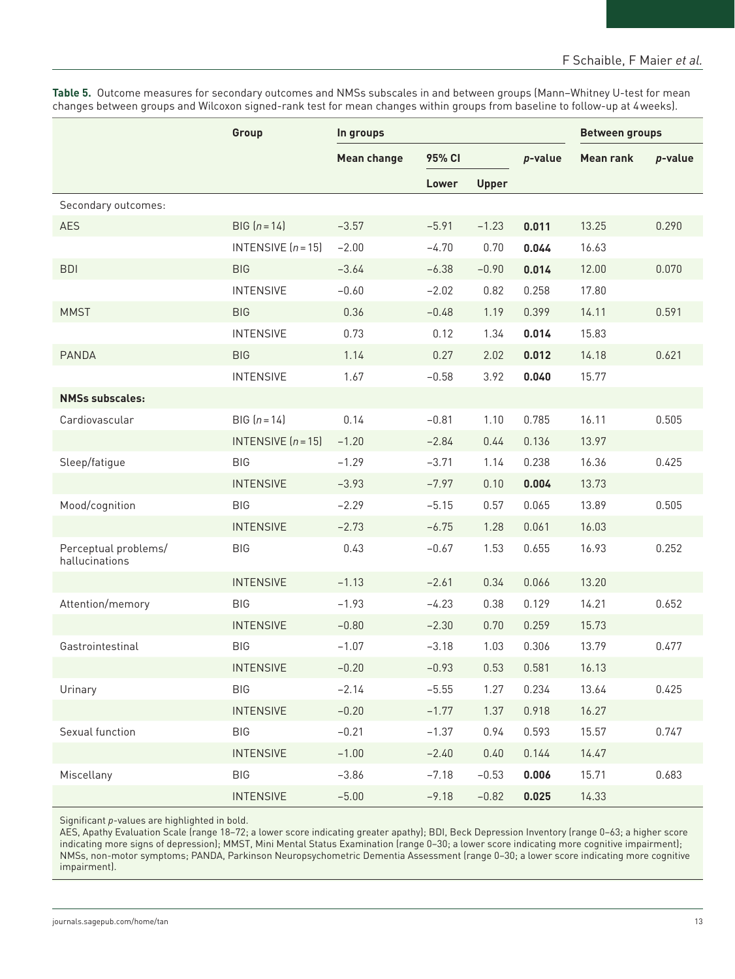**Table 5.** Outcome measures for secondary outcomes and NMSs subscales in and between groups (Mann–Whitney U-test for mean changes between groups and Wilcoxon signed-rank test for mean changes within groups from baseline to follow-up at 4weeks).

|                                        | Group                | In groups          |         |              | <b>Between groups</b> |                  |            |
|----------------------------------------|----------------------|--------------------|---------|--------------|-----------------------|------------------|------------|
|                                        |                      | <b>Mean change</b> | 95% CI  |              | p-value               | <b>Mean rank</b> | $p$ -value |
|                                        |                      |                    | Lower   | <b>Upper</b> |                       |                  |            |
| Secondary outcomes:                    |                      |                    |         |              |                       |                  |            |
| <b>AES</b>                             | $BIG [n = 14]$       | $-3.57$            | $-5.91$ | $-1.23$      | 0.011                 | 13.25            | 0.290      |
|                                        | INTENSIVE $(n = 15)$ | $-2.00$            | $-4.70$ | 0.70         | 0.044                 | 16.63            |            |
| <b>BDI</b>                             | <b>BIG</b>           | $-3.64$            | $-6.38$ | $-0.90$      | 0.014                 | 12.00            | 0.070      |
|                                        | <b>INTENSIVE</b>     | $-0.60$            | $-2.02$ | 0.82         | 0.258                 | 17.80            |            |
| <b>MMST</b>                            | <b>BIG</b>           | 0.36               | $-0.48$ | 1.19         | 0.399                 | 14.11            | 0.591      |
|                                        | <b>INTENSIVE</b>     | 0.73               | 0.12    | 1.34         | 0.014                 | 15.83            |            |
| <b>PANDA</b>                           | <b>BIG</b>           | 1.14               | 0.27    | 2.02         | 0.012                 | 14.18            | 0.621      |
|                                        | <b>INTENSIVE</b>     | 1.67               | $-0.58$ | 3.92         | 0.040                 | 15.77            |            |
| <b>NMSs subscales:</b>                 |                      |                    |         |              |                       |                  |            |
| Cardiovascular                         | $BIG [n = 14]$       | 0.14               | $-0.81$ | 1.10         | 0.785                 | 16.11            | 0.505      |
|                                        | INTENSIVE $(n = 15)$ | $-1.20$            | $-2.84$ | 0.44         | 0.136                 | 13.97            |            |
| Sleep/fatique                          | <b>BIG</b>           | $-1.29$            | $-3.71$ | 1.14         | 0.238                 | 16.36            | 0.425      |
|                                        | <b>INTENSIVE</b>     | $-3.93$            | $-7.97$ | 0.10         | 0.004                 | 13.73            |            |
| Mood/cognition                         | <b>BIG</b>           | $-2.29$            | $-5.15$ | 0.57         | 0.065                 | 13.89            | 0.505      |
|                                        | <b>INTENSIVE</b>     | $-2.73$            | $-6.75$ | 1.28         | 0.061                 | 16.03            |            |
| Perceptual problems/<br>hallucinations | <b>BIG</b>           | 0.43               | $-0.67$ | 1.53         | 0.655                 | 16.93            | 0.252      |
|                                        | <b>INTENSIVE</b>     | $-1.13$            | $-2.61$ | 0.34         | 0.066                 | 13.20            |            |
| Attention/memory                       | <b>BIG</b>           | $-1.93$            | $-4.23$ | 0.38         | 0.129                 | 14.21            | 0.652      |
|                                        | <b>INTENSIVE</b>     | $-0.80$            | $-2.30$ | 0.70         | 0.259                 | 15.73            |            |
| Gastrointestinal                       | <b>BIG</b>           | $-1.07$            | $-3.18$ | 1.03         | 0.306                 | 13.79            | 0.477      |
|                                        | <b>INTENSIVE</b>     | $-0.20$            | $-0.93$ | 0.53         | 0.581                 | 16.13            |            |
| Urinary                                | <b>BIG</b>           | $-2.14$            | $-5.55$ | 1.27         | 0.234                 | 13.64            | 0.425      |
|                                        | <b>INTENSIVE</b>     | $-0.20$            | $-1.77$ | 1.37         | 0.918                 | 16.27            |            |
| Sexual function                        | <b>BIG</b>           | $-0.21$            | $-1.37$ | 0.94         | 0.593                 | 15.57            | 0.747      |
|                                        | <b>INTENSIVE</b>     | $-1.00$            | $-2.40$ | 0.40         | 0.144                 | 14.47            |            |
| Miscellany                             | <b>BIG</b>           | $-3.86$            | $-7.18$ | $-0.53$      | 0.006                 | 15.71            | 0.683      |
|                                        | <b>INTENSIVE</b>     | $-5.00$            | $-9.18$ | $-0.82$      | 0.025                 | 14.33            |            |

Significant *p*-values are highlighted in bold.

AES, Apathy Evaluation Scale (range 18–72; a lower score indicating greater apathy); BDI, Beck Depression Inventory (range 0–63; a higher score indicating more signs of depression); MMST, Mini Mental Status Examination (range 0–30; a lower score indicating more cognitive impairment); NMSs, non-motor symptoms; PANDA, Parkinson Neuropsychometric Dementia Assessment (range 0–30; a lower score indicating more cognitive impairment).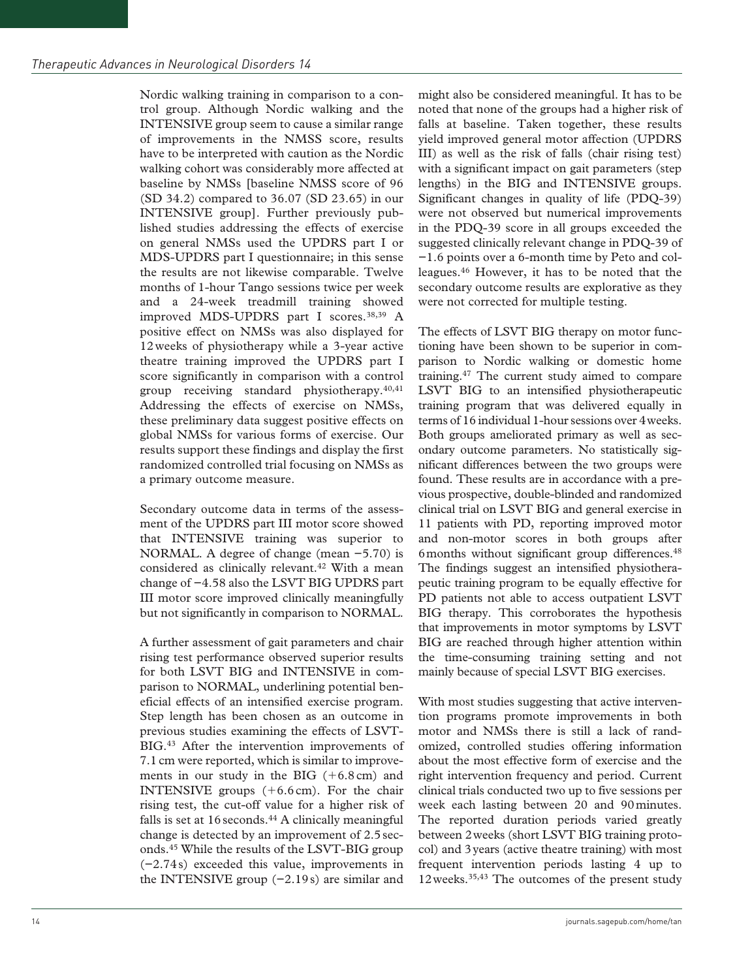Nordic walking training in comparison to a control group. Although Nordic walking and the INTENSIVE group seem to cause a similar range of improvements in the NMSS score, results have to be interpreted with caution as the Nordic walking cohort was considerably more affected at baseline by NMSs [baseline NMSS score of 96 (SD 34.2) compared to 36.07 (SD 23.65) in our INTENSIVE group]. Further previously published studies addressing the effects of exercise on general NMSs used the UPDRS part I or MDS-UPDRS part I questionnaire; in this sense the results are not likewise comparable. Twelve months of 1-hour Tango sessions twice per week and a 24-week treadmill training showed improved MDS-UPDRS part I scores.38,39 A positive effect on NMSs was also displayed for 12weeks of physiotherapy while a 3-year active theatre training improved the UPDRS part I score significantly in comparison with a control group receiving standard physiotherapy.40,41 Addressing the effects of exercise on NMSs, these preliminary data suggest positive effects on global NMSs for various forms of exercise. Our results support these findings and display the first randomized controlled trial focusing on NMSs as a primary outcome measure.

Secondary outcome data in terms of the assessment of the UPDRS part III motor score showed that INTENSIVE training was superior to NORMAL. A degree of change (mean −5.70) is considered as clinically relevant.<sup>42</sup> With a mean change of −4.58 also the LSVT BIG UPDRS part III motor score improved clinically meaningfully but not significantly in comparison to NORMAL.

A further assessment of gait parameters and chair rising test performance observed superior results for both LSVT BIG and INTENSIVE in comparison to NORMAL, underlining potential beneficial effects of an intensified exercise program. Step length has been chosen as an outcome in previous studies examining the effects of LSVT-BIG.43 After the intervention improvements of 7.1cm were reported, which is similar to improvements in our study in the BIG  $(+6.8 \text{ cm})$  and INTENSIVE groups (+6.6cm). For the chair rising test, the cut-off value for a higher risk of falls is set at  $16$  seconds.<sup>44</sup> A clinically meaningful change is detected by an improvement of 2.5seconds.45 While the results of the LSVT-BIG group (−2.74s) exceeded this value, improvements in the INTENSIVE group (−2.19s) are similar and

might also be considered meaningful. It has to be noted that none of the groups had a higher risk of falls at baseline. Taken together, these results yield improved general motor affection (UPDRS III) as well as the risk of falls (chair rising test) with a significant impact on gait parameters (step) lengths) in the BIG and INTENSIVE groups. Significant changes in quality of life (PDQ-39) were not observed but numerical improvements in the PDQ-39 score in all groups exceeded the suggested clinically relevant change in PDQ-39 of −1.6 points over a 6-month time by Peto and colleagues.46 However, it has to be noted that the secondary outcome results are explorative as they were not corrected for multiple testing.

The effects of LSVT BIG therapy on motor functioning have been shown to be superior in comparison to Nordic walking or domestic home training.47 The current study aimed to compare LSVT BIG to an intensified physiotherapeutic training program that was delivered equally in terms of 16 individual 1-hour sessions over 4weeks. Both groups ameliorated primary as well as secondary outcome parameters. No statistically significant differences between the two groups were found. These results are in accordance with a previous prospective, double-blinded and randomized clinical trial on LSVT BIG and general exercise in 11 patients with PD, reporting improved motor and non-motor scores in both groups after 6months without significant group differences.48 The findings suggest an intensified physiotherapeutic training program to be equally effective for PD patients not able to access outpatient LSVT BIG therapy. This corroborates the hypothesis that improvements in motor symptoms by LSVT BIG are reached through higher attention within the time-consuming training setting and not mainly because of special LSVT BIG exercises.

With most studies suggesting that active intervention programs promote improvements in both motor and NMSs there is still a lack of randomized, controlled studies offering information about the most effective form of exercise and the right intervention frequency and period. Current clinical trials conducted two up to five sessions per week each lasting between 20 and 90minutes. The reported duration periods varied greatly between 2weeks (short LSVT BIG training protocol) and 3years (active theatre training) with most frequent intervention periods lasting 4 up to 12weeks.35,43 The outcomes of the present study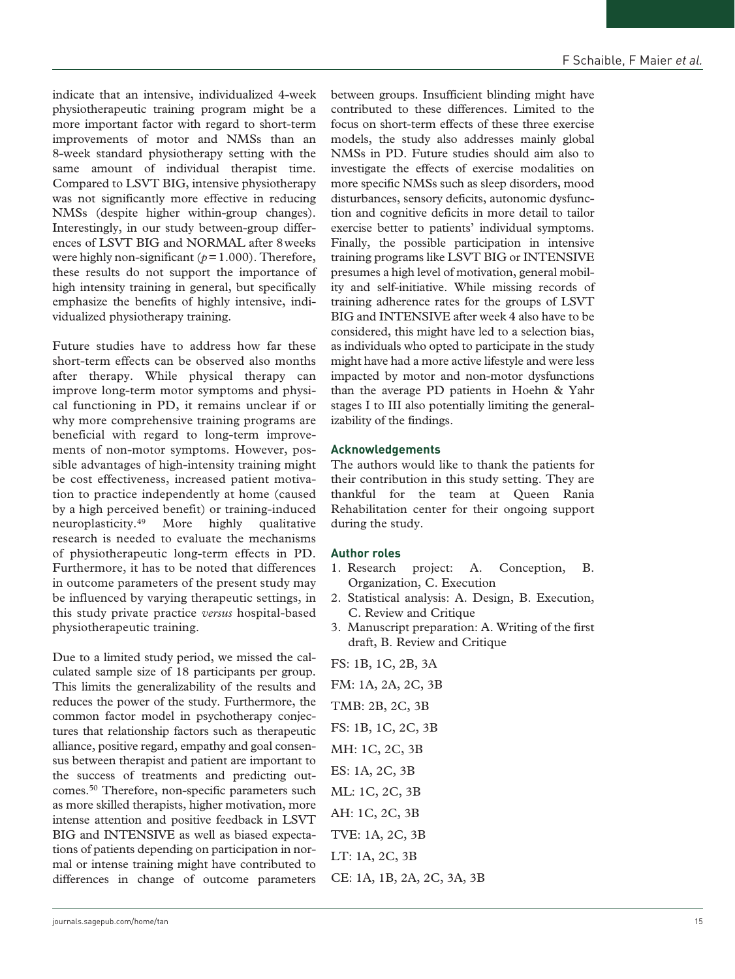indicate that an intensive, individualized 4-week physiotherapeutic training program might be a more important factor with regard to short-term improvements of motor and NMSs than an 8-week standard physiotherapy setting with the same amount of individual therapist time. Compared to LSVT BIG, intensive physiotherapy was not significantly more effective in reducing NMSs (despite higher within-group changes). Interestingly, in our study between-group differences of LSVT BIG and NORMAL after 8weeks were highly non-significant ( $p=1.000$ ). Therefore, these results do not support the importance of high intensity training in general, but specifically emphasize the benefits of highly intensive, individualized physiotherapy training.

Future studies have to address how far these short-term effects can be observed also months after therapy. While physical therapy can improve long-term motor symptoms and physical functioning in PD, it remains unclear if or why more comprehensive training programs are beneficial with regard to long-term improvements of non-motor symptoms. However, possible advantages of high-intensity training might be cost effectiveness, increased patient motivation to practice independently at home (caused by a high perceived benefit) or training-induced neuroplasticity.49 More highly qualitative research is needed to evaluate the mechanisms of physiotherapeutic long-term effects in PD. Furthermore, it has to be noted that differences in outcome parameters of the present study may be influenced by varying therapeutic settings, in this study private practice *versus* hospital-based physiotherapeutic training.

Due to a limited study period, we missed the calculated sample size of 18 participants per group. This limits the generalizability of the results and reduces the power of the study. Furthermore, the common factor model in psychotherapy conjectures that relationship factors such as therapeutic alliance, positive regard, empathy and goal consensus between therapist and patient are important to the success of treatments and predicting outcomes.50 Therefore, non-specific parameters such as more skilled therapists, higher motivation, more intense attention and positive feedback in LSVT BIG and INTENSIVE as well as biased expectations of patients depending on participation in normal or intense training might have contributed to differences in change of outcome parameters

between groups. Insufficient blinding might have contributed to these differences. Limited to the focus on short-term effects of these three exercise models, the study also addresses mainly global NMSs in PD. Future studies should aim also to investigate the effects of exercise modalities on more specific NMSs such as sleep disorders, mood disturbances, sensory deficits, autonomic dysfunction and cognitive deficits in more detail to tailor exercise better to patients' individual symptoms. Finally, the possible participation in intensive training programs like LSVT BIG or INTENSIVE presumes a high level of motivation, general mobility and self-initiative. While missing records of training adherence rates for the groups of LSVT BIG and INTENSIVE after week 4 also have to be considered, this might have led to a selection bias, as individuals who opted to participate in the study might have had a more active lifestyle and were less impacted by motor and non-motor dysfunctions than the average PD patients in Hoehn & Yahr stages I to III also potentially limiting the generalizability of the findings.

## **Acknowledgements**

The authors would like to thank the patients for their contribution in this study setting. They are thankful for the team at Queen Rania Rehabilitation center for their ongoing support during the study.

# **Author roles**

- 1. Research project: A. Conception, B. Organization, C. Execution
- 2. Statistical analysis: A. Design, B. Execution, C. Review and Critique
- 3. Manuscript preparation: A. Writing of the first draft, B. Review and Critique
- FS: 1B, 1C, 2B, 3A FM: 1A, 2A, 2C, 3B
- TMB: 2B, 2C, 3B
- FS: 1B, 1C, 2C, 3B
- MH: 1C, 2C, 3B
- ES: 1A, 2C, 3B
- ML: 1C, 2C, 3B AH: 1C, 2C, 3B
- TVE: 1A, 2C, 3B
- LT: 1A, 2C, 3B
- CE: 1A, 1B, 2A, 2C, 3A, 3B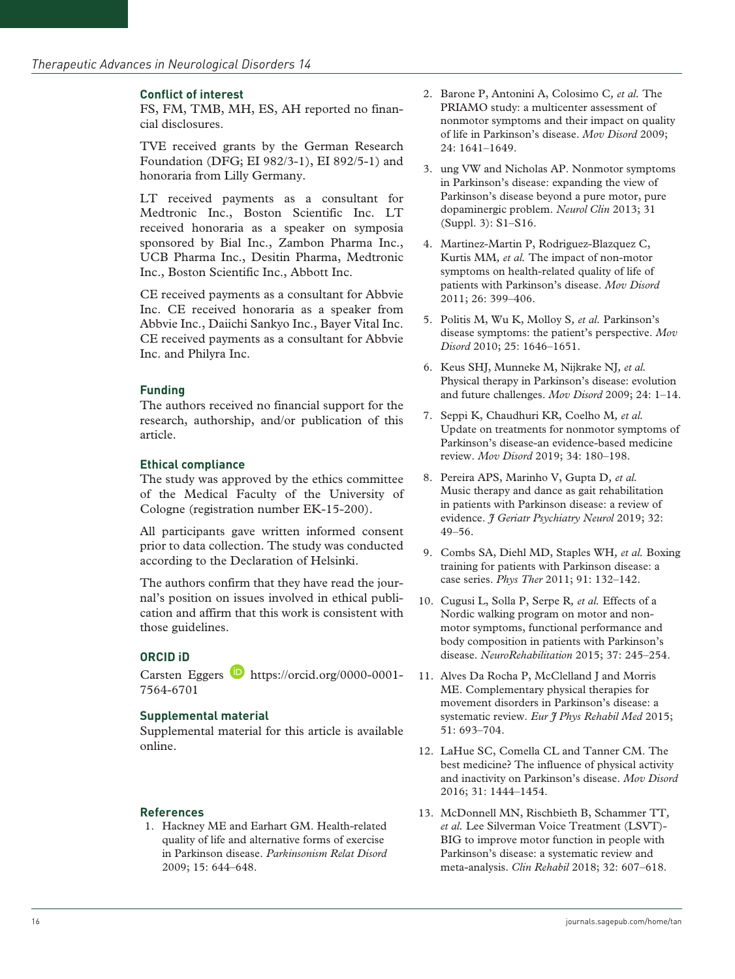#### **Conflict of interest**

FS, FM, TMB, MH, ES, AH reported no financial disclosures.

TVE received grants by the German Research Foundation (DFG; EI 982/3-1), EI 892/5-1) and honoraria from Lilly Germany.

LT received payments as a consultant for Medtronic Inc., Boston Scientific Inc. LT received honoraria as a speaker on symposia sponsored by Bial Inc., Zambon Pharma Inc., UCB Pharma Inc., Desitin Pharma, Medtronic Inc., Boston Scientific Inc., Abbott Inc.

CE received payments as a consultant for Abbvie Inc. CE received honoraria as a speaker from Abbvie Inc., Daiichi Sankyo Inc., Bayer Vital Inc. CE received payments as a consultant for Abbvie Inc. and Philyra Inc.

## **Funding**

The authors received no financial support for the research, authorship, and/or publication of this article.

#### **Ethical compliance**

The study was approved by the ethics committee of the Medical Faculty of the University of Cologne (registration number EK-15-200).

All participants gave written informed consent prior to data collection. The study was conducted according to the Declaration of Helsinki.

The authors confirm that they have read the journal's position on issues involved in ethical publication and affirm that this work is consistent with those guidelines.

## **ORCID iD**

Carsten Eggers **b** [https://orcid.org/0000-0001-](https://orcid.org/0000-0001-7564-6701) [7564-6701](https://orcid.org/0000-0001-7564-6701)

#### **Supplemental material**

Supplemental material for this article is available online.

#### **References**

1. Hackney ME and Earhart GM. Health-related quality of life and alternative forms of exercise in Parkinson disease. *Parkinsonism Relat Disord* 2009; 15: 644–648.

- 2. Barone P, Antonini A, Colosimo C*, et al.* The PRIAMO study: a multicenter assessment of nonmotor symptoms and their impact on quality of life in Parkinson's disease. *Mov Disord* 2009; 24: 1641–1649.
- 3. ung VW and Nicholas AP. Nonmotor symptoms in Parkinson's disease: expanding the view of Parkinson's disease beyond a pure motor, pure dopaminergic problem. *Neurol Clin* 2013; 31 (Suppl. 3): S1–S16.
- 4. Martinez-Martin P, Rodriguez-Blazquez C, Kurtis MM*, et al.* The impact of non-motor symptoms on health-related quality of life of patients with Parkinson's disease. *Mov Disord* 2011; 26: 399–406.
- 5. Politis M, Wu K, Molloy S*, et al.* Parkinson's disease symptoms: the patient's perspective. *Mov Disord* 2010; 25: 1646–1651.
- 6. Keus SHJ, Munneke M, Nijkrake NJ*, et al.* Physical therapy in Parkinson's disease: evolution and future challenges. *Mov Disord* 2009; 24: 1–14.
- 7. Seppi K, Chaudhuri KR, Coelho M*, et al.* Update on treatments for nonmotor symptoms of Parkinson's disease-an evidence-based medicine review. *Mov Disord* 2019; 34: 180–198.
- 8. Pereira APS, Marinho V, Gupta D*, et al.* Music therapy and dance as gait rehabilitation in patients with Parkinson disease: a review of evidence. *J Geriatr Psychiatry Neurol* 2019; 32: 49–56.
- 9. Combs SA, Diehl MD, Staples WH*, et al.* Boxing training for patients with Parkinson disease: a case series. *Phys Ther* 2011; 91: 132–142.
- 10. Cugusi L, Solla P, Serpe R*, et al.* Effects of a Nordic walking program on motor and nonmotor symptoms, functional performance and body composition in patients with Parkinson's disease. *NeuroRehabilitation* 2015; 37: 245–254.
- 11. Alves Da Rocha P, McClelland J and Morris ME. Complementary physical therapies for movement disorders in Parkinson's disease: a systematic review. *Eur J Phys Rehabil Med* 2015; 51: 693–704.
- 12. LaHue SC, Comella CL and Tanner CM. The best medicine? The influence of physical activity and inactivity on Parkinson's disease. *Mov Disord* 2016; 31: 1444–1454.
- 13. McDonnell MN, Rischbieth B, Schammer TT*, et al.* Lee Silverman Voice Treatment (LSVT)- BIG to improve motor function in people with Parkinson's disease: a systematic review and meta-analysis. *Clin Rehabil* 2018; 32: 607–618.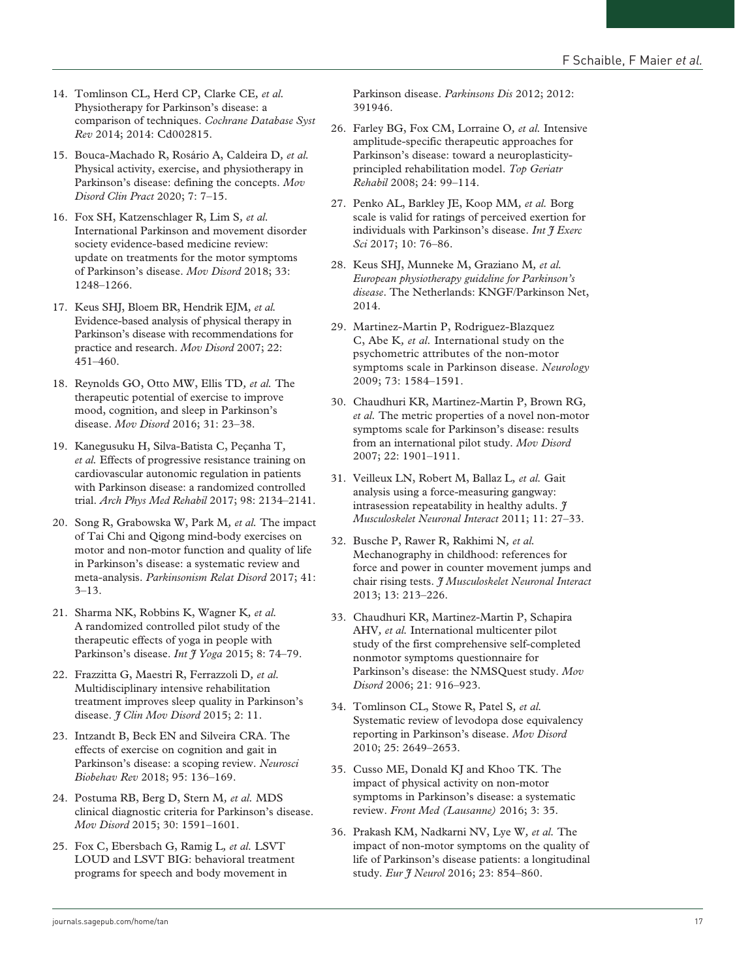- 14. Tomlinson CL, Herd CP, Clarke CE*, et al.* Physiotherapy for Parkinson's disease: a comparison of techniques. *Cochrane Database Syst Rev* 2014; 2014: Cd002815.
- 15. Bouca-Machado R, Rosário A, Caldeira D*, et al.* Physical activity, exercise, and physiotherapy in Parkinson's disease: defining the concepts. *Mov Disord Clin Pract* 2020; 7: 7–15.
- 16. Fox SH, Katzenschlager R, Lim S*, et al.* International Parkinson and movement disorder society evidence-based medicine review: update on treatments for the motor symptoms of Parkinson's disease. *Mov Disord* 2018; 33: 1248–1266.
- 17. Keus SHJ, Bloem BR, Hendrik EJM*, et al.* Evidence-based analysis of physical therapy in Parkinson's disease with recommendations for practice and research. *Mov Disord* 2007; 22: 451–460.
- 18. Reynolds GO, Otto MW, Ellis TD*, et al.* The therapeutic potential of exercise to improve mood, cognition, and sleep in Parkinson's disease. *Mov Disord* 2016; 31: 23–38.
- 19. Kanegusuku H, Silva-Batista C, Peçanha T*, et al.* Effects of progressive resistance training on cardiovascular autonomic regulation in patients with Parkinson disease: a randomized controlled trial. *Arch Phys Med Rehabil* 2017; 98: 2134–2141.
- 20. Song R, Grabowska W, Park M*, et al.* The impact of Tai Chi and Qigong mind-body exercises on motor and non-motor function and quality of life in Parkinson's disease: a systematic review and meta-analysis. *Parkinsonism Relat Disord* 2017; 41: 3–13.
- 21. Sharma NK, Robbins K, Wagner K*, et al.* A randomized controlled pilot study of the therapeutic effects of yoga in people with Parkinson's disease. *Int J Yoga* 2015; 8: 74–79.
- 22. Frazzitta G, Maestri R, Ferrazzoli D*, et al.* Multidisciplinary intensive rehabilitation treatment improves sleep quality in Parkinson's disease. *J Clin Mov Disord* 2015; 2: 11.
- 23. Intzandt B, Beck EN and Silveira CRA. The effects of exercise on cognition and gait in Parkinson's disease: a scoping review. *Neurosci Biobehav Rev* 2018; 95: 136–169.
- 24. Postuma RB, Berg D, Stern M*, et al.* MDS clinical diagnostic criteria for Parkinson's disease. *Mov Disord* 2015; 30: 1591–1601.
- 25. Fox C, Ebersbach G, Ramig L*, et al.* LSVT LOUD and LSVT BIG: behavioral treatment programs for speech and body movement in

Parkinson disease. *Parkinsons Dis* 2012; 2012: 391946.

- 26. Farley BG, Fox CM, Lorraine O*, et al.* Intensive amplitude-specific therapeutic approaches for Parkinson's disease: toward a neuroplasticityprincipled rehabilitation model. *Top Geriatr Rehabil* 2008; 24: 99–114.
- 27. Penko AL, Barkley JE, Koop MM*, et al.* Borg scale is valid for ratings of perceived exertion for individuals with Parkinson's disease. *Int J Exerc Sci* 2017; 10: 76–86.
- 28. Keus SHJ, Munneke M, Graziano M*, et al. European physiotherapy guideline for Parkinson's disease*. The Netherlands: KNGF/Parkinson Net, 2014.
- 29. Martinez-Martin P, Rodriguez-Blazquez C, Abe K*, et al.* International study on the psychometric attributes of the non-motor symptoms scale in Parkinson disease. *Neurology* 2009; 73: 1584–1591.
- 30. Chaudhuri KR, Martinez-Martin P, Brown RG*, et al.* The metric properties of a novel non-motor symptoms scale for Parkinson's disease: results from an international pilot study. *Mov Disord* 2007; 22: 1901–1911.
- 31. Veilleux LN, Robert M, Ballaz L*, et al.* Gait analysis using a force-measuring gangway: intrasession repeatability in healthy adults. *J Musculoskelet Neuronal Interact* 2011; 11: 27–33.
- 32. Busche P, Rawer R, Rakhimi N*, et al.* Mechanography in childhood: references for force and power in counter movement jumps and chair rising tests. *J Musculoskelet Neuronal Interact* 2013; 13: 213–226.
- 33. Chaudhuri KR, Martinez-Martin P, Schapira AHV*, et al.* International multicenter pilot study of the first comprehensive self-completed nonmotor symptoms questionnaire for Parkinson's disease: the NMSQuest study. *Mov Disord* 2006; 21: 916–923.
- 34. Tomlinson CL, Stowe R, Patel S*, et al.* Systematic review of levodopa dose equivalency reporting in Parkinson's disease. *Mov Disord* 2010; 25: 2649–2653.
- 35. Cusso ME, Donald KJ and Khoo TK. The impact of physical activity on non-motor symptoms in Parkinson's disease: a systematic review. *Front Med (Lausanne)* 2016; 3: 35.
- 36. Prakash KM, Nadkarni NV, Lye W*, et al.* The impact of non-motor symptoms on the quality of life of Parkinson's disease patients: a longitudinal study. *Eur J Neurol* 2016; 23: 854–860.